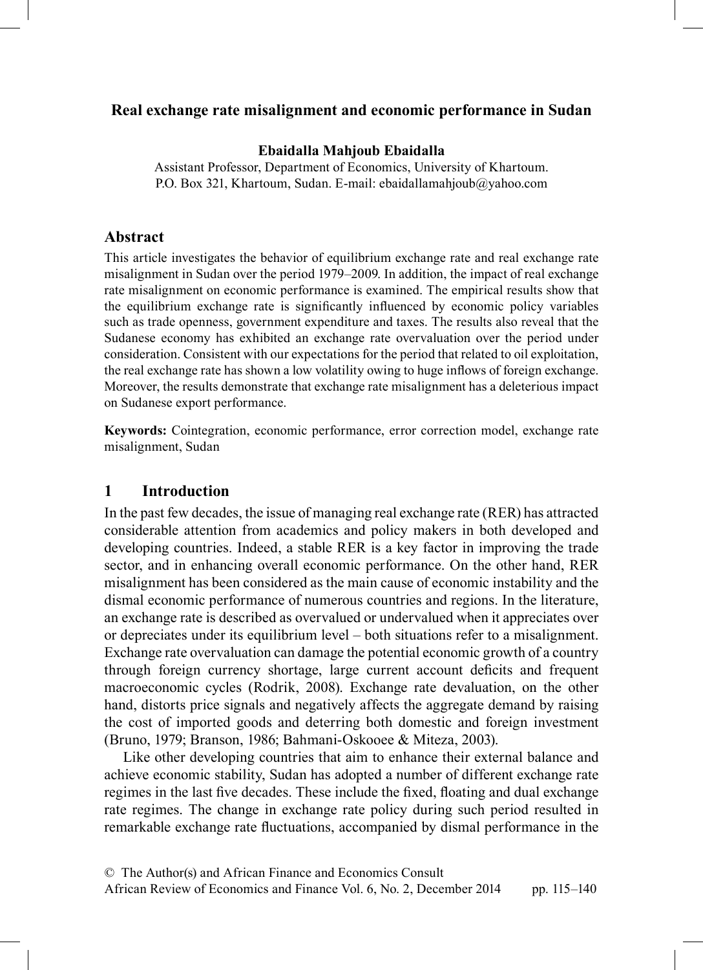## <sup>9</sup>**Real exchange rate misalignment and economic performance in Sudan**

#### **Ebaidalla Mahjoub Ebaidalla**

Assistant Professor, Department of Economics, University of Khartoum. P.O. Box 321, Khartoum, Sudan. E-mail: ebaidallamahjoub@yahoo.com

#### **Abstract**

This article investigates the behavior of equilibrium exchange rate and real exchange rate misalignment in Sudan over the period 1979–2009. In addition, the impact of real exchange rate misalignment on economic performance is examined. The empirical results show that the equilibrium exchange rate is significantly influenced by economic policy variables such as trade openness, government expenditure and taxes. The results also reveal that the Sudanese economy has exhibited an exchange rate overvaluation over the period under consideration. Consistent with our expectations for the period that related to oil exploitation, the real exchange rate has shown a low volatility owing to huge inflows of foreign exchange. Moreover, the results demonstrate that exchange rate misalignment has a deleterious impact on Sudanese export performance.

**Keywords:** Cointegration, economic performance, error correction model, exchange rate misalignment, Sudan

#### **1 Introduction**

In the past few decades, the issue of managing real exchange rate (RER) has attracted considerable attention from academics and policy makers in both developed and developing countries. Indeed, a stable RER is a key factor in improving the trade sector, and in enhancing overall economic performance. On the other hand, RER misalignment has been considered as the main cause of economic instability and the dismal economic performance of numerous countries and regions. In the literature, an exchange rate is described as overvalued or undervalued when it appreciates over or depreciates under its equilibrium level – both situations refer to a misalignment. Exchange rate overvaluation can damage the potential economic growth of a country through foreign currency shortage, large current account deficits and frequent macroeconomic cycles (Rodrik, 2008). Exchange rate devaluation, on the other hand, distorts price signals and negatively affects the aggregate demand by raising the cost of imported goods and deterring both domestic and foreign investment (Bruno, 1979; Branson, 1986; Bahmani-Oskooee & Miteza, 2003).

Like other developing countries that aim to enhance their external balance and achieve economic stability, Sudan has adopted a number of different exchange rate regimes in the last five decades. These include the fixed, floating and dual exchange rate regimes. The change in exchange rate policy during such period resulted in remarkable exchange rate fluctuations, accompanied by dismal performance in the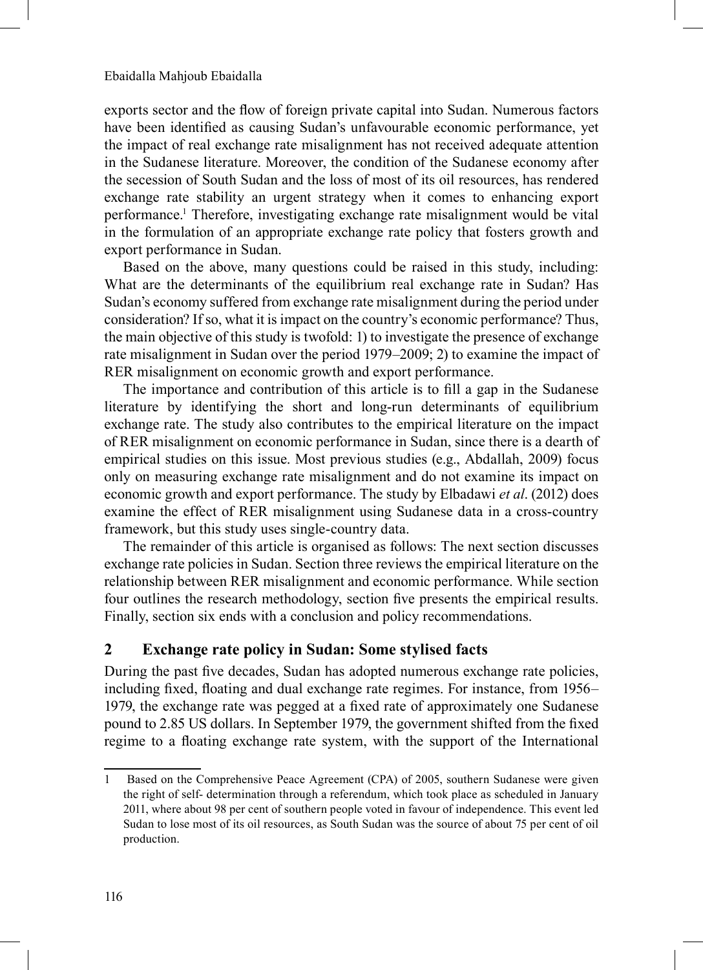exports sector and the flow of foreign private capital into Sudan. Numerous factors have been identified as causing Sudan's unfavourable economic performance, yet the impact of real exchange rate misalignment has not received adequate attention in the Sudanese literature. Moreover, the condition of the Sudanese economy after the secession of South Sudan and the loss of most of its oil resources, has rendered exchange rate stability an urgent strategy when it comes to enhancing export performance.1 Therefore, investigating exchange rate misalignment would be vital in the formulation of an appropriate exchange rate policy that fosters growth and export performance in Sudan.

Based on the above, many questions could be raised in this study, including: What are the determinants of the equilibrium real exchange rate in Sudan? Has Sudan's economy suffered from exchange rate misalignment during the period under consideration? If so, what it is impact on the country's economic performance? Thus, the main objective of this study is twofold: 1) to investigate the presence of exchange rate misalignment in Sudan over the period 1979–2009; 2) to examine the impact of RER misalignment on economic growth and export performance.

The importance and contribution of this article is to fill a gap in the Sudanese literature by identifying the short and long-run determinants of equilibrium exchange rate. The study also contributes to the empirical literature on the impact of RER misalignment on economic performance in Sudan, since there is a dearth of empirical studies on this issue. Most previous studies (e.g., Abdallah, 2009) focus only on measuring exchange rate misalignment and do not examine its impact on economic growth and export performance. The study by Elbadawi *et al*. (2012) does examine the effect of RER misalignment using Sudanese data in a cross-country framework, but this study uses single-country data.

The remainder of this article is organised as follows: The next section discusses exchange rate policies in Sudan. Section three reviews the empirical literature on the relationship between RER misalignment and economic performance. While section four outlines the research methodology, section five presents the empirical results. Finally, section six ends with a conclusion and policy recommendations.

#### **2 Exchange rate policy in Sudan: Some stylised facts**

During the past five decades, Sudan has adopted numerous exchange rate policies, including fixed, floating and dual exchange rate regimes. For instance, from 1956– 1979, the exchange rate was pegged at a fixed rate of approximately one Sudanese pound to 2.85 US dollars. In September 1979, the government shifted from the fixed regime to a floating exchange rate system, with the support of the International

<sup>1</sup> Based on the Comprehensive Peace Agreement (CPA) of 2005, southern Sudanese were given the right of self- determination through a referendum, which took place as scheduled in January 2011, where about 98 per cent of southern people voted in favour of independence. This event led Sudan to lose most of its oil resources, as South Sudan was the source of about 75 per cent of oil production.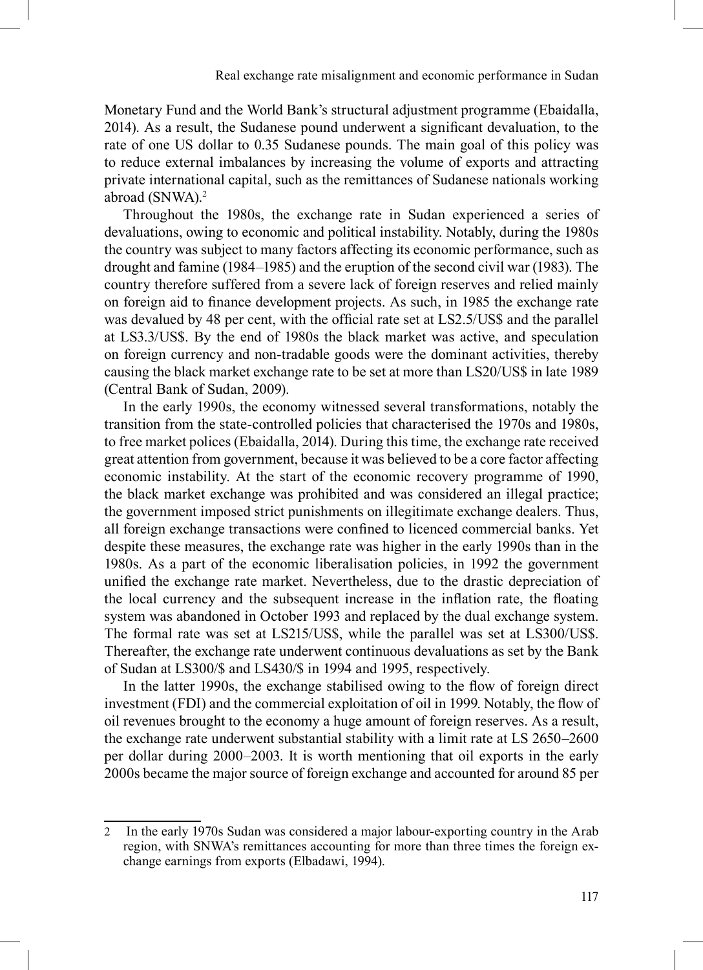Monetary Fund and the World Bank's structural adjustment programme (Ebaidalla, 2014). As a result, the Sudanese pound underwent a significant devaluation, to the rate of one US dollar to 0.35 Sudanese pounds. The main goal of this policy was to reduce external imbalances by increasing the volume of exports and attracting private international capital, such as the remittances of Sudanese nationals working abroad (SNWA).2

Throughout the 1980s, the exchange rate in Sudan experienced a series of devaluations, owing to economic and political instability. Notably, during the 1980s the country was subject to many factors affecting its economic performance, such as drought and famine (1984–1985) and the eruption of the second civil war (1983). The country therefore suffered from a severe lack of foreign reserves and relied mainly on foreign aid to finance development projects. As such, in 1985 the exchange rate was devalued by 48 per cent, with the official rate set at LS2.5/US\$ and the parallel at LS3.3/US\$. By the end of 1980s the black market was active, and speculation on foreign currency and non-tradable goods were the dominant activities, thereby causing the black market exchange rate to be set at more than LS20/US\$ in late 1989 (Central Bank of Sudan, 2009).

In the early 1990s, the economy witnessed several transformations, notably the transition from the state-controlled policies that characterised the 1970s and 1980s, to free market polices (Ebaidalla, 2014). During this time, the exchange rate received great attention from government, because it was believed to be a core factor affecting economic instability. At the start of the economic recovery programme of 1990, the black market exchange was prohibited and was considered an illegal practice; the government imposed strict punishments on illegitimate exchange dealers. Thus, all foreign exchange transactions were confined to licenced commercial banks. Yet despite these measures, the exchange rate was higher in the early 1990s than in the 1980s. As a part of the economic liberalisation policies, in 1992 the government unified the exchange rate market. Nevertheless, due to the drastic depreciation of the local currency and the subsequent increase in the inflation rate, the floating system was abandoned in October 1993 and replaced by the dual exchange system. The formal rate was set at LS215/US\$, while the parallel was set at LS300/US\$. Thereafter, the exchange rate underwent continuous devaluations as set by the Bank of Sudan at LS300/\$ and LS430/\$ in 1994 and 1995, respectively.

In the latter 1990s, the exchange stabilised owing to the flow of foreign direct investment (FDI) and the commercial exploitation of oil in 1999. Notably, the flow of oil revenues brought to the economy a huge amount of foreign reserves. As a result, the exchange rate underwent substantial stability with a limit rate at LS 2650–2600 per dollar during 2000–2003. It is worth mentioning that oil exports in the early 2000s became the major source of foreign exchange and accounted for around 85 per

<sup>2</sup> In the early 1970s Sudan was considered a major labour-exporting country in the Arab region, with SNWA's remittances accounting for more than three times the foreign exchange earnings from exports (Elbadawi, 1994).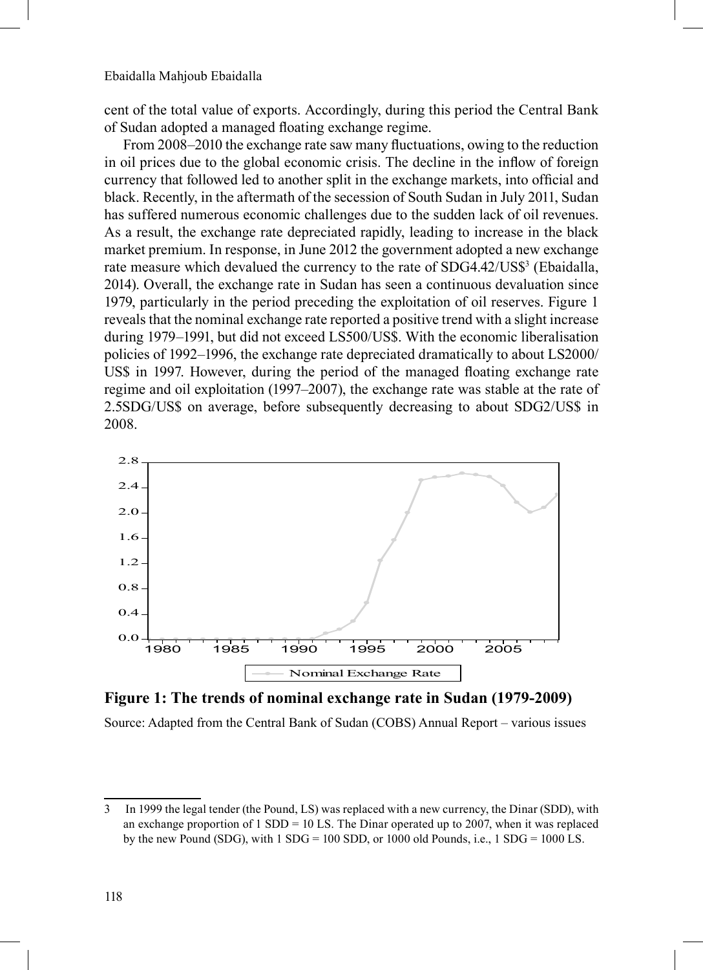cent of the total value of exports. Accordingly, during this period the Central Bank of Sudan adopted a managed floating exchange regime.

From 2008–2010 the exchange rate saw many fluctuations, owing to the reduction in oil prices due to the global economic crisis. The decline in the inflow of foreign currency that followed led to another split in the exchange markets, into official and black. Recently, in the aftermath of the secession of South Sudan in July 2011, Sudan has suffered numerous economic challenges due to the sudden lack of oil revenues. As a result, the exchange rate depreciated rapidly, leading to increase in the black market premium. In response, in June 2012 the government adopted a new exchange rate measure which devalued the currency to the rate of SDG4.42/US\$<sup>3</sup> (Ebaidalla, 2014). Overall, the exchange rate in Sudan has seen a continuous devaluation since 1979, particularly in the period preceding the exploitation of oil reserves. Figure 1 reveals that the nominal exchange rate reported a positive trend with a slight increase during 1979–1991, but did not exceed LS500/US\$. With the economic liberalisation policies of 1992–1996, the exchange rate depreciated dramatically to about LS2000/ US\$ in 1997. However, during the period of the managed floating exchange rate regime and oil exploitation (1997–2007), the exchange rate was stable at the rate of 2.5SDG/US\$ on average, before subsequently decreasing to about SDG2/US\$ in 2008.



**Figure 1: The trends of nominal exchange rate in Sudan (1979-2009)**

Source: Adapted from the Central Bank of Sudan (COBS) Annual Report – various issues

<sup>3</sup> In 1999 the legal tender (the Pound, LS) was replaced with a new currency, the Dinar (SDD), with an exchange proportion of  $1 SDD = 10 LS$ . The Dinar operated up to 2007, when it was replaced by the new Pound (SDG), with  $1 SDG = 100 SDD$ , or 1000 old Pounds, i.e.,  $1 SDG = 1000 LS$ .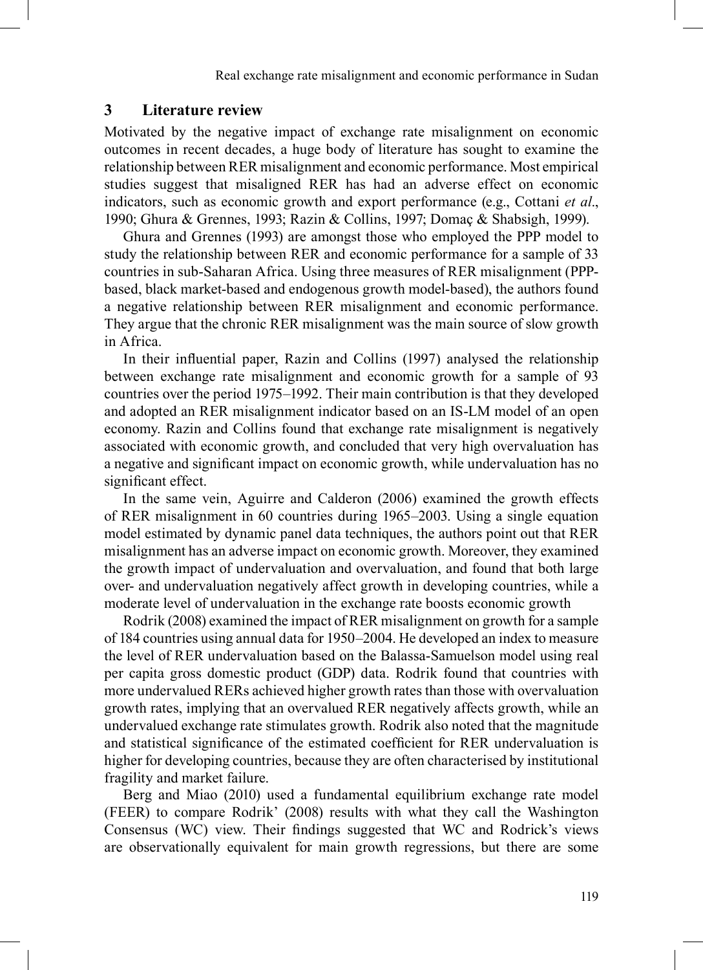Real exchange rate misalignment and economic performance in Sudan

#### **3 Literature review**

Motivated by the negative impact of exchange rate misalignment on economic outcomes in recent decades, a huge body of literature has sought to examine the relationship between RER misalignment and economic performance. Most empirical studies suggest that misaligned RER has had an adverse effect on economic indicators, such as economic growth and export performance (e.g., Cottani *et al*., 1990; Ghura & Grennes, 1993; Razin & Collins, 1997; Domaç & Shabsigh, 1999).

Ghura and Grennes (1993) are amongst those who employed the PPP model to study the relationship between RER and economic performance for a sample of 33 countries in sub-Saharan Africa. Using three measures of RER misalignment (PPPbased, black market-based and endogenous growth model-based), the authors found a negative relationship between RER misalignment and economic performance. They argue that the chronic RER misalignment was the main source of slow growth in Africa.

In their influential paper, Razin and Collins (1997) analysed the relationship between exchange rate misalignment and economic growth for a sample of 93 countries over the period 1975–1992. Their main contribution is that they developed and adopted an RER misalignment indicator based on an IS-LM model of an open economy. Razin and Collins found that exchange rate misalignment is negatively associated with economic growth, and concluded that very high overvaluation has a negative and significant impact on economic growth, while undervaluation has no significant effect.

In the same vein, Aguirre and Calderon (2006) examined the growth effects of RER misalignment in 60 countries during 1965–2003. Using a single equation model estimated by dynamic panel data techniques, the authors point out that RER misalignment has an adverse impact on economic growth. Moreover, they examined the growth impact of undervaluation and overvaluation, and found that both large over- and undervaluation negatively affect growth in developing countries, while a moderate level of undervaluation in the exchange rate boosts economic growth

Rodrik (2008) examined the impact of RER misalignment on growth for a sample of 184 countries using annual data for 1950–2004. He developed an index to measure the level of RER undervaluation based on the Balassa-Samuelson model using real per capita gross domestic product (GDP) data. Rodrik found that countries with more undervalued RERs achieved higher growth rates than those with overvaluation growth rates, implying that an overvalued RER negatively affects growth, while an undervalued exchange rate stimulates growth. Rodrik also noted that the magnitude and statistical significance of the estimated coefficient for RER undervaluation is higher for developing countries, because they are often characterised by institutional fragility and market failure.

189Berg and Miao (2010) used a fundamental equilibrium exchange rate model (FEER) to compare Rodrik' (2008) results with what they call the Washington Consensus (WC) view. Their findings suggested that WC and Rodrick's views are observationally equivalent for main growth regressions, but there are some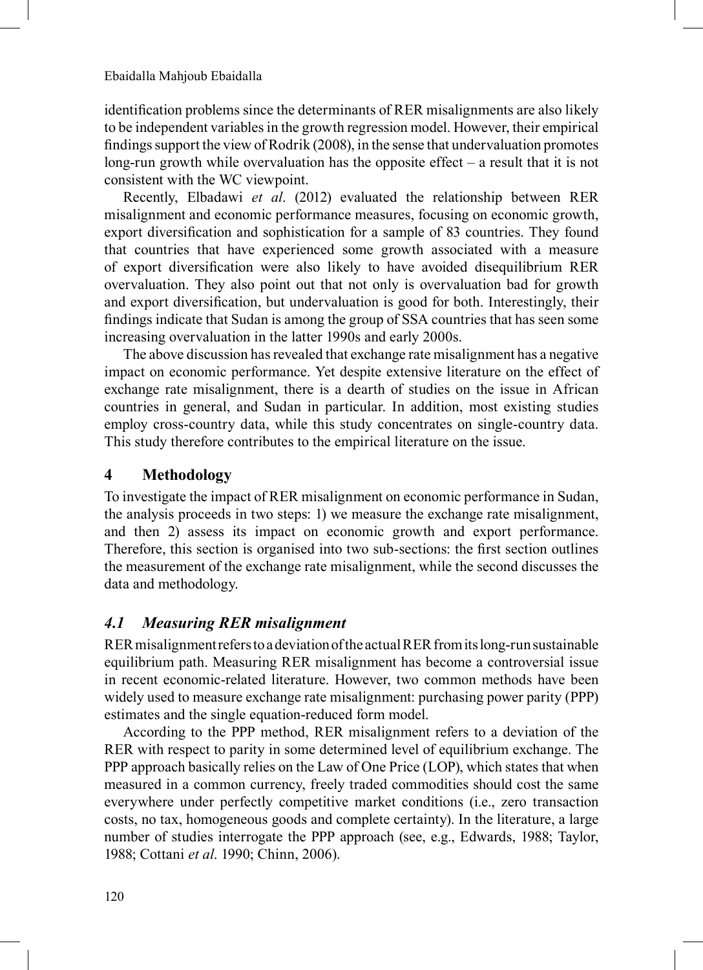identification problems since the determinants of RER misalignments are also likely to be independent variables in the growth regression model. However, their empirical findings support the view of Rodrik (2008), in the sense that undervaluation promotes long-run growth while overvaluation has the opposite effect – a result that it is not consistent with the WC viewpoint.

Recently, Elbadawi *et al.* (2012) evaluated the relationship between RER misalignment and economic performance measures, focusing on economic growth, export diversification and sophistication for a sample of 83 countries. They found that countries that have experienced some growth associated with a measure of export diversification were also likely to have avoided disequilibrium RER overvaluation. They also point out that not only is overvaluation bad for growth and export diversification, but undervaluation is good for both. Interestingly, their findings indicate that Sudan is among the group of SSA countries that has seen some increasing overvaluation in the latter 1990s and early 2000s.

The above discussion has revealed that exchange rate misalignment has a negative impact on economic performance. Yet despite extensive literature on the effect of exchange rate misalignment, there is a dearth of studies on the issue in African countries in general, and Sudan in particular. In addition, most existing studies employ cross-country data, while this study concentrates on single-country data. This study therefore contributes to the empirical literature on the issue.

## **4 Methodology**

To investigate the impact of RER misalignment on economic performance in Sudan, the analysis proceeds in two steps: 1) we measure the exchange rate misalignment, and then 2) assess its impact on economic growth and export performance. Therefore, this section is organised into two sub-sections: the first section outlines the measurement of the exchange rate misalignment, while the second discusses the data and methodology.

## *4.1 Measuring RER misalignment*

RER misalignment refers to a deviation of the actual RER from its long-run sustainable equilibrium path. Measuring RER misalignment has become a controversial issue in recent economic-related literature. However, two common methods have been widely used to measure exchange rate misalignment: purchasing power parity (PPP) estimates and the single equation-reduced form model.

According to the PPP method, RER misalignment refers to a deviation of the RER with respect to parity in some determined level of equilibrium exchange. The PPP approach basically relies on the Law of One Price (LOP), which states that when measured in a common currency, freely traded commodities should cost the same everywhere under perfectly competitive market conditions (i.e., zero transaction costs, no tax, homogeneous goods and complete certainty). In the literature, a large number of studies interrogate the PPP approach (see, e.g., Edwards, 1988; Taylor, 1988; Cottani *et al*. 1990; Chinn, 2006).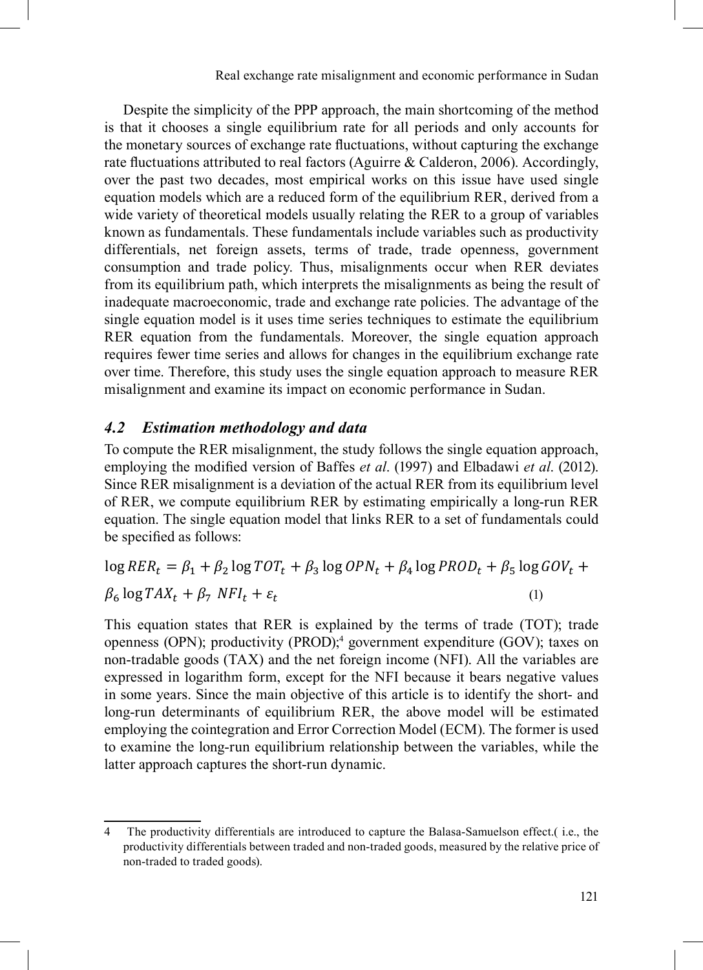Despite the simplicity of the PPP approach, the main shortcoming of the method Explicitly of the FIT approach, the main shortcoming of the include<br>is that it chooses a single equilibrium rate for all periods and only accounts for the monetary sources of exchange rate fluctuations, without capturing the exchange rate fluctuations attributed to real factors (Aguirre & Calderon, 2006). Accordingly, race included once the past two decades, most empirical works on this issue have used single equation models which are a reduced form of the equilibrium RER, derived from a wide variety of theoretical models usually relating the RER to a group of variables which variety of incordidation models usually relating the KER to a group of variables such as productivity  $\mathbb{R}$ . differentials, net foreign assets, terms of trade, trade openness, government consumption and trade policy. Thus, misalignments occur when RER deviates from its equilibrium path, which interprets the misalignments as being the result of inadequate macroeconomic, trade and exchange rate policies. The advantage of the single equation model is it uses time series techniques to estimate the equilibrium RER equation model is it uses time series termiques to estimate the equinorium<br>RER equation from the fundamentals. Moreover, the single equation approach requires fewer time series and allows for changes in the equilibrium exchange rate over time. Therefore, this study uses the single equation approach to measure RER misalignment and examine its impact on economic performance in Sudan.

# **4.2** *Estimation methodology and data* **Example 20 Example 20 Computer**

To compute the RER misalignment, the study follows the single equation approach, employing the modified version of Baffes *et al.* (1997) and Elbadawi *et al.* (2012). Since RER misalignment is a deviation of the actual RER from its equilibrium level of RER, we compute equilibrium RER by estimating empirically a long-run RER equation. The single equation model that links RER to a set of fundamentals could be specified as follows:

$$
\log RER_t = \beta_1 + \beta_2 \log TOT_t + \beta_3 \log OPN_t + \beta_4 \log PROD_t + \beta_5 \log GOV_t + \beta_6 \log TAX_t + \beta_7 NFI_t + \varepsilon_t
$$
\n(1)

This equation states that RER is explained by the terms of trade (TOT); trade openness (OPN); productivity (PROD);<sup>4</sup> government expenditure (GOV); taxes on non-tradable goods (TAX) and the net foreign income (NFI). All the variables are expressed in logarithm form, except for the NFI because it bears negative values in some years. Since the main objective of this article is to identify the short- and long-run determinants of equilibrium RER, the above model will be estimated employing the cointegration and Error Correction Model (ECM). The former is used to examine the long-run equilibrium relationship between the variables, while the latter approach captures the short-run dynamic.

for the long-run equilibrium relationship between the long-run equilibrium relationship between the variables, while  $\mathcal{L}$ 

 $\mathbf{f}_\text{max}$  the production are introduced to calculate the Balasa-Samuelson effect. differentials between traded and non-traded goods, measured by the relative price of non-traded to traded

<sup>4</sup> The productivity differentials are introduced to capture the Balasa-Samuelson effect. (i.e., the productivity differentials between traded and non-traded goods, measured by the relative price of  $R_{\text{non-traded to traded goods}}$ .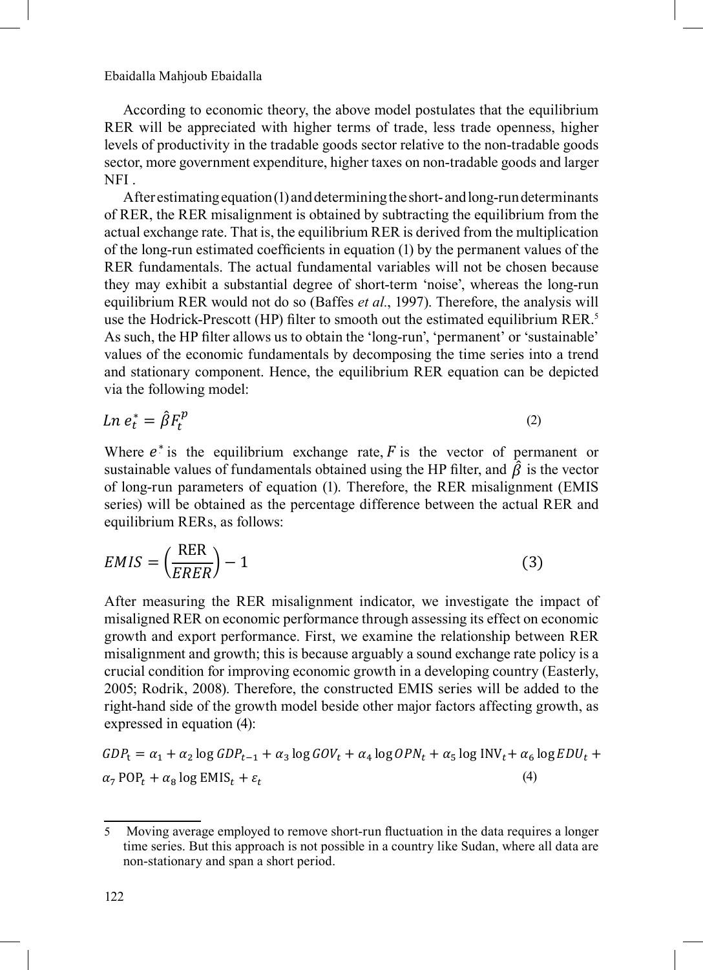Ebaidalla Mahjoub Ebaidalla<br>
on 1000 and 1000 and 1000 and 1000 and 1000 and 1000 and 1000 and 1000 and 1000 and 1000 and 1000 and 1000 and 1000 and 1000 and 1000 and 1000 and 1000 and 1000 and 1000 and 1000 and 1000 and 1 on non-tradable goods (6 < 0) and larger NFI (7 < 0).  $t_{\rm{max}}$  ,  $\frac{d}{dt}$  ,  $\frac{d}{dt}$  ,  $\frac{d}{dt}$  ,  $\frac{d}{dt}$  ,  $\frac{d}{dt}$  ,  $\frac{d}{dt}$ 

According to economic theory, the above model postulates that the equilibrium According to economic theory, the above model postulates that the equilibrium<br>RER will be appreciated with higher terms of trade, less trade openness, higher explicitly with the tradable goods sector relative to the non-tradable goods sector, more government expenditure, higher taxes on non-tradable goods and larger NFI . According to economic theory, the above model postulates that the equilibrium sector, more government expenditure, higher taxes on non-tradable goods and larger<br>NEI

the non-tradable goods sector (4 < 0), less government expenditure (5 < 0), higher taxes

After estimating equation  $(1)$  and determining the short- and long-run determinants of RER, the RER misalignment is obtained by subtracting the equilibrium from the actual exchange rate. That is, the equilibrium RER is derived from the multiplication of the long-run estimated coefficients in equation (1) by the permanent values of the of the long-run estimated coefficients in equation (1) by the permanent values of the<br>RER fundamentals. The actual fundamental variables will not be chosen because KER fundamentals. The actual fundamental variables will not be chosen because<br>they may exhibit a substantial degree of short-term 'noise', whereas the long-run equilibrium RER would not do so (Baffes *et al.*, 1997). Therefore, the analysis will use the Hodrick-Prescott (HP) filter to smooth out the estimated equilibrium RER.<sup>5</sup> As such, the HP filter allows us to obtain the 'long-run', 'permanent' or 'sustainable' values of the economic fundamentals by decomposing the time series into a trend values of the economic fundamentals by decomposing the time series like a trend<br>and stationary component. Hence, the equilibrium RER equation can be depicted and stationary component. Hence, the equilibrium RER equation can be depicted via the following model: NF1.<br>After estimating equation (1) and determining the short- and long-run determinants  $\alpha$  the leng give activities and  $\alpha$  and  $\alpha$  is  $\alpha$  in an allowing (1) for the aggregation on subsequently  $\alpha$  $\alpha$  component. Hence, the equilibrium KEK equation can be depicted of the long-run estimated coefficients in equation (1) by the permanent values of the  $1997$ . Therefore, the analysis will use the use the model of the Hodrick-Prescott (HD) filter to smooth out the estimated equilibrium PED  $^5$ and stationary component. Hence the equilibrium RER equation can be denicted series into a trend and stationary component. Hence, the equation can be equation can be equation can be equation can be equation can be equation can be equation can be equation can be equation can be equation can be expec a trend  $\mathbf{r}$  is the economic fundamental between  $\mathbf{r}$ 

$$
Ln e_t^* = \hat{\beta} F_t^p \tag{2}
$$

Ln  $e_t^* = \hat{\beta} F_t^p$  (2)<br>Where  $e^*$  is the equilibrium exchange rate, F is the vector of permanent or sustainable values of fundamentals obtained using the HP filter, and  $\hat{\beta}$  is the vector of large guy generators of equation (1). Therefore, the RER misalignment (EMIS) of long-run parameters of equation (1). Therefore, the RER misalignment (EMIS series) will be obtained as the percentage difference between the actual RER and equilibrium RERs, as follows: series) will be obtained as the percentage difference between the actual RER and equilibrium RERs, as follows:

$$
EMIS = \left(\frac{RER}{ERER}\right) - 1\tag{3}
$$

After measuring the RER misalignment indicator, we investigate the impact of After measuring the KER misalignment indicator, we investigate the impact of misaligned RER on economic performance through assessing its effect on economic misanglied KER on economic performance infough assessing its effect on economic<br>growth and export performance. First, we examine the relationship between RER growth and export performance. First, we examine the relationship between RER<br>misalignment and growth; this is because arguably a sound exchange rate policy is a misalignment and growth; this is because arguably a sound exchange rate policy is a<br>crucial condition for improving economic growth in a developing country (Easterly,  $2005$ ; Rodrik, 2008). Therefore, the constructed EMIS series will be added to the  $\frac{1}{2}$ right-hand side of the growth model beside other major factors affecting growth, as expressed in equation (4): performance the relationship between Report and and growth model between the relationship between relationship economic growth in a developing country (Easterly, 2005; Rodrik, 2005; Rodrik, 2005; Rodrik, 2005; Rodrik, 200  $\Gamma$  (4):  $\frac{1}{2}$  measurement indicator, we increase the impact of mission  $\frac{1}{2}$ 

$$
GDP_t = \alpha_1 + \alpha_2 \log GDP_{t-1} + \alpha_3 \log GOV_t + \alpha_4 \log OPN_t + \alpha_5 \log INV_t + \alpha_6 \log EDU_t + \alpha_7 \text{POP}_t + \alpha_8 \log EMIS_t + \varepsilon_t
$$
\n(4)

<sup>5</sup> Moving average employed to remove short-run fluctuation in the data requires a longer time series. But this

t = 1 + 2 log −1 + 3 log + 3 log + 5 log + 5 log + 5 log + 5 log + 5 log + 5 log + 5 log + 5 log + 6 log + 6 lo

7 POP + 8 log EMIS + 8 log EMIS + 8 log EMIS + 8 log EMIS + 8 log EMIS + 8 log EMIS + 8 log EMIS + 8 log EMIS

<sup>5</sup> Moving average employed to remove short-run fluctuation in the data requires a longer time series. But this

j

 $\overline{\hspace{0.2cm}}$  Moving average employed to remove short-run fluctuation in the data requires a longer time series. But this approach is not possible in a country like Sudan, where all data are<br>non-stationary and span a short period non-stationary and span a short period. m a country fine buddin, where an data are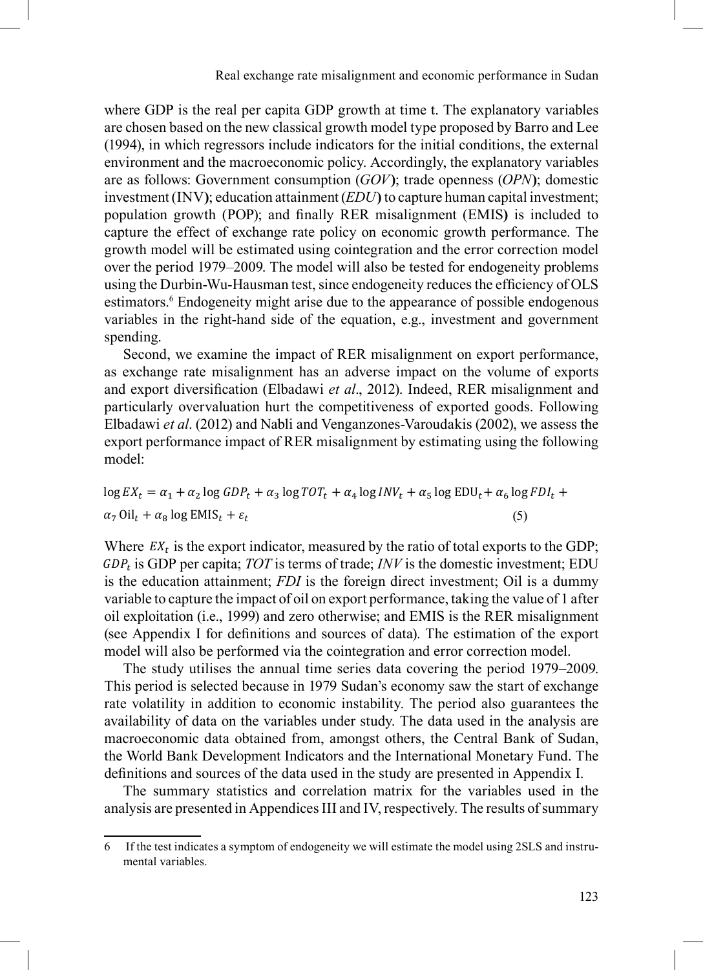where GDP is the real per capita GDP growth at time t. The explanatory variables are chosen based on the new classical growth model type proposed by Barro and Lee (1994), in which regressors include indicators for the initial conditions, the external environment and the macroeconomic policy. Accordingly, the explanatory variables are as follows: Government consumption  $(GOV)$ ; trade openness  $(OPN)$ ; domestic investment (INV); education attainment *(EDU)* to capture human capital investment; population growth (POP); and finally RER misalignment (EMIS) is included to capture the effect of exchange rate policy on economic growth performance. The growth model will be estimated using cointegration and the error correction model over the period 1979–2009. The model will also be tested for endogeneity problems using the Durbin-Wu-Hausman test, since endogeneity reduces the efficiency of OLS estimators.<sup>6</sup> Endogeneity might arise due to the appearance of possible endogenous variables in the right-hand side of the equation, e.g., investment and government spending.  $\sin \theta$  impact of RER misalignment of RER misalignment on exponent on exponent on exponent on exponent performance, as  $\sin \theta$  $GDD^*$  is the real per capital per capital per capital per chosen at time terms are chosen at time terms are chosen as chosen as chosen at time terms are chosen as chosen as  $GDD^*$ 

Second, we examine the impact of RER misalignment on export performance, second, we channel the impact of these impact on the volume of exports<br>as exchange rate misalignment has an adverse impact on the volume of exports and export diversification (Elbadawi et al., 2012). Indeed, RER misalignment and particularly overvaluation hurt the competitiveness of exported goods. Following Elbadawi *et al.* (2012) and Nabli and Venganzones-Varoudakis (2002), we assess the export performance impact of RER misalignment by estimating using the following model:  $\frac{1}{2}$  possible endowed beginning the immest of  $\overline{D}$   $\overline{D}$  misalignment and exponent and exponent and  $\overline{D}$ ort performance impact of PEP misalignment by estimating using the following overvaluation hurt the competitiveness of exported goods. Following Elbadawi *et al*. (2012) diversification (Elbadawi **et al., 2012)**. Indeed, RER mission and particular models.

$$
\log EX_t = \alpha_1 + \alpha_2 \log GDP_t + \alpha_3 \log TOT_t + \alpha_4 \log INV_t + \alpha_5 \log EDU_t + \alpha_6 \log FDI_t + \alpha_7 \text{Oil}_t + \alpha_8 \log EMI_t + \epsilon_t
$$
\n(5)

Where  $EX_t$  is the export indicator, measured by the ratio of total exports to the GDP;  $GDP_t$  is GDP per capita; TOT is terms of trade; INV is the domestic investment; EDU is the education attainment; *FDI* is the foreign direct investment; Oil is a dummy is the ducation attainment; *FDI* is the foreign direct investment; Oil is a dummy variable to capture the impact of oil on export performance, taking the value of 1 after oil exploitation (i.e., 1999) and zero otherwise; and EMIS is the RER misalignment (see Appendix I for definitions and sources of data). The estimation of the export model will also be performed via the cointegration and error correction model.

The study utilises the annual time series data covering the period 1979–2009. This period is selected because in 1979 Sudan's economy saw the start of exchange rate volatility in addition to economic instability. The period also guarantees the availability of data on the variables under study. The data used in the analysis are macroeconomic data obtained from, amongst others, the Central Bank of Sudan, the World Bank Development Indicators and the International Monetary Fund. The definitions and sources of the data used in the study are presented in Appendix I. definitions and sources of the data used in the study are presented in Appendix I. capture the impact of order  $\mu$  and the control of the value of 1 after order 1 after  $\mu$  and 1070, 2000,

The summary statistics and correlation matrix for the variables used in the analysis are presented in Appendices III and IV, respectively. The results of summary

 $\overline{6}$  If the test indicates a symptom of endogeneity we will estimate the model using 2SLS and instrumental variables.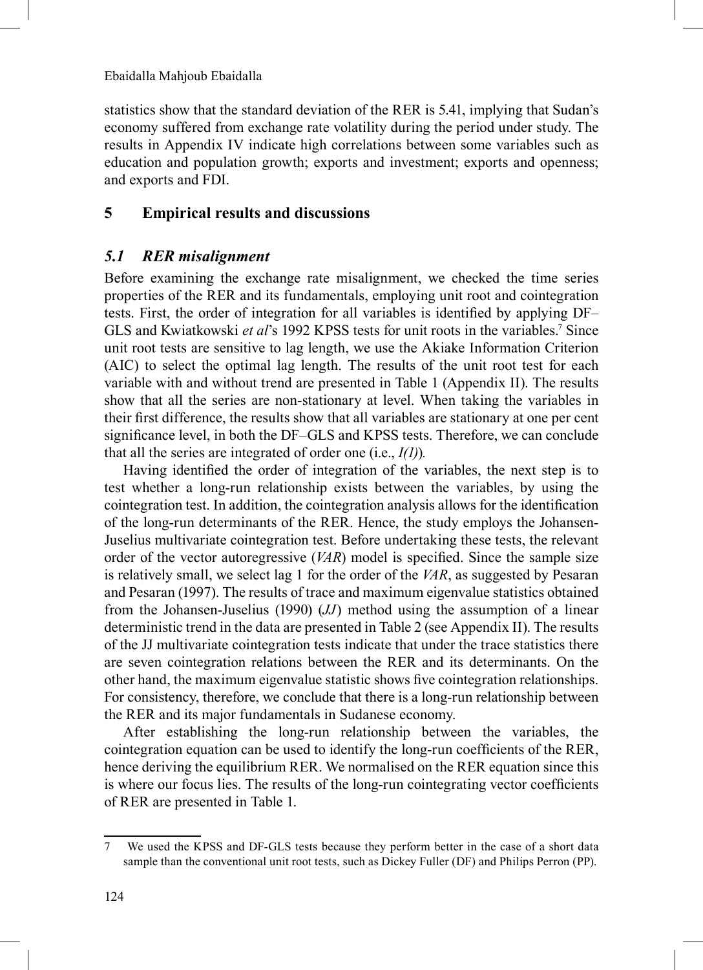statistics show that the standard deviation of the RER is 5.41, implying that Sudan's economy suffered from exchange rate volatility during the period under study. The results in Appendix IV indicate high correlations between some variables such as education and population growth; exports and investment; exports and openness; and exports and FDI.

## **5 Empirical results and discussions**

#### *5.1 RER misalignment*

Before examining the exchange rate misalignment, we checked the time series properties of the RER and its fundamentals, employing unit root and cointegration tests. First, the order of integration for all variables is identified by applying DF– GLS and Kwiatkowski et al's 1992 KPSS tests for unit roots in the variables.<sup>7</sup> Since unit root tests are sensitive to lag length, we use the Akiake Information Criterion (AIC) to select the optimal lag length. The results of the unit root test for each variable with and without trend are presented in Table 1 (Appendix II). The results show that all the series are non-stationary at level. When taking the variables in their first difference, the results show that all variables are stationary at one per cent significance level, in both the DF–GLS and KPSS tests. Therefore, we can conclude that all the series are integrated of order one (i.e., *I(1)*)*.*

Having identified the order of integration of the variables, the next step is to test whether a long-run relationship exists between the variables, by using the cointegration test. In addition, the cointegration analysis allows for the identification of the long-run determinants of the RER. Hence, the study employs the Johansen-Juselius multivariate cointegration test. Before undertaking these tests, the relevant order of the vector autoregressive (*VAR*) model is specified. Since the sample size is relatively small, we select lag 1 for the order of the *VAR*, as suggested by Pesaran and Pesaran (1997). The results of trace and maximum eigenvalue statistics obtained from the Johansen-Juselius (1990) (*JJ*) method using the assumption of a linear deterministic trend in the data are presented in Table 2 (see Appendix II). The results of the JJ multivariate cointegration tests indicate that under the trace statistics there are seven cointegration relations between the RER and its determinants. On the other hand, the maximum eigenvalue statistic shows five cointegration relationships. For consistency, therefore, we conclude that there is a long-run relationship between the RER and its major fundamentals in Sudanese economy.

After establishing the long-run relationship between the variables, the cointegration equation can be used to identify the long-run coefficients of the RER, hence deriving the equilibrium RER. We normalised on the RER equation since this is where our focus lies. The results of the long-run cointegrating vector coefficients of RER are presented in Table 1.

<sup>7</sup> We used the KPSS and DF-GLS tests because they perform better in the case of a short data sample than the conventional unit root tests, such as Dickey Fuller (DF) and Philips Perron (PP).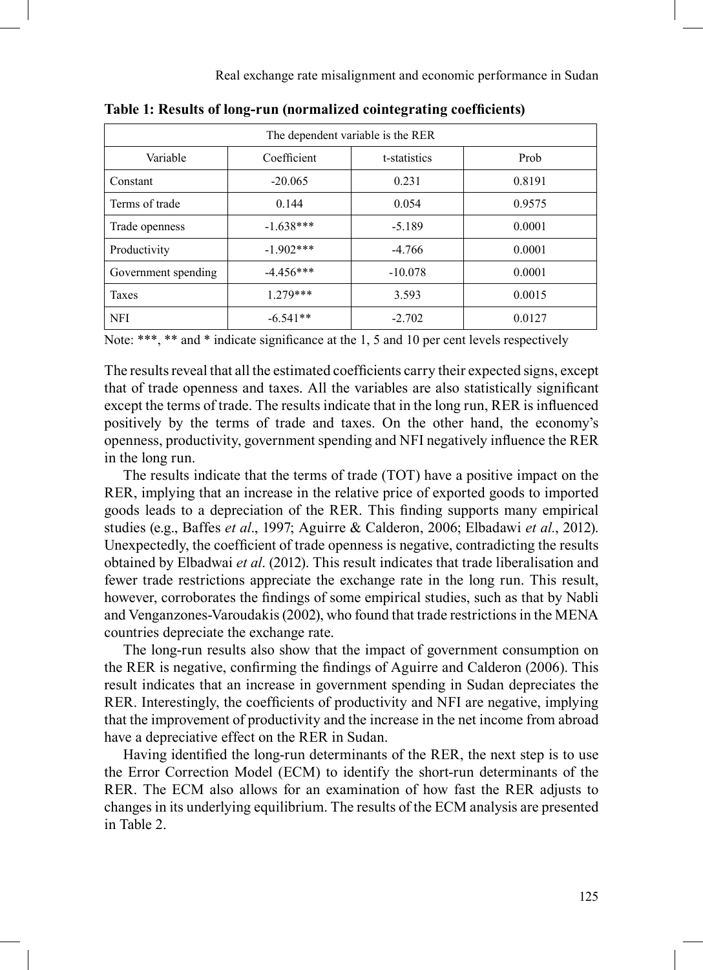Real exchange rate misalignment and economic performance in Sudan

| The dependent variable is the RER |              |              |        |  |  |  |
|-----------------------------------|--------------|--------------|--------|--|--|--|
| Variable                          | Coefficient  | t-statistics | Prob   |  |  |  |
| Constant                          | $-20.065$    | 0.231        | 0.8191 |  |  |  |
| Terms of trade                    | 0.144        | 0.054        | 0.9575 |  |  |  |
| Trade openness                    | $-1.638***$  |              | 0.0001 |  |  |  |
| Productivity                      | $-1.902$ *** |              | 0.0001 |  |  |  |
| Government spending               | $-4.456***$  | $-10.078$    | 0.0001 |  |  |  |
| <b>Taxes</b>                      | $1279***$    |              | 0.0015 |  |  |  |
| <b>NFI</b>                        | $-6.541**$   | $-2.702$     | 0.0127 |  |  |  |

**Table 1: Results of long-run (normalized cointegrating coefficients)** 

Note: \*\*\*, \*\* and \* indicate significance at the 1, 5 and 10 per cent levels respectively

The results reveal that all the estimated coefficients carry their expected signs, except that of trade openness and taxes. All the variables are also statistically significant except the terms of trade. The results indicate that in the long run, RER is influenced positively by the terms of trade and taxes. On the other hand, the economy's openness, productivity, government spending and NFI negatively influence the RER in the long run.

The results indicate that the terms of trade (TOT) have a positive impact on the RER, implying that an increase in the relative price of exported goods to imported goods leads to a depreciation of the RER. This finding supports many empirical studies (e.g., Baffes *et al*., 1997; Aguirre & Calderon, 2006; Elbadawi *et al.*, 2012). Unexpectedly, the coefficient of trade openness is negative, contradicting the results obtained by Elbadwai *et al*. (2012). This result indicates that trade liberalisation and fewer trade restrictions appreciate the exchange rate in the long run. This result, however, corroborates the findings of some empirical studies, such as that by Nabli and Venganzones-Varoudakis (2002), who found that trade restrictions in the MENA countries depreciate the exchange rate.

The long-run results also show that the impact of government consumption on the RER is negative, confirming the findings of Aguirre and Calderon (2006). This result indicates that an increase in government spending in Sudan depreciates the RER. Interestingly, the coefficients of productivity and NFI are negative, implying that the improvement of productivity and the increase in the net income from abroad have a depreciative effect on the RER in Sudan.

Having identified the long-run determinants of the RER, the next step is to use the Error Correction Model (ECM) to identify the short-run determinants of the RER. The ECM also allows for an examination of how fast the RER adjusts to changes in its underlying equilibrium. The results of the ECM analysis are presented in Table 2.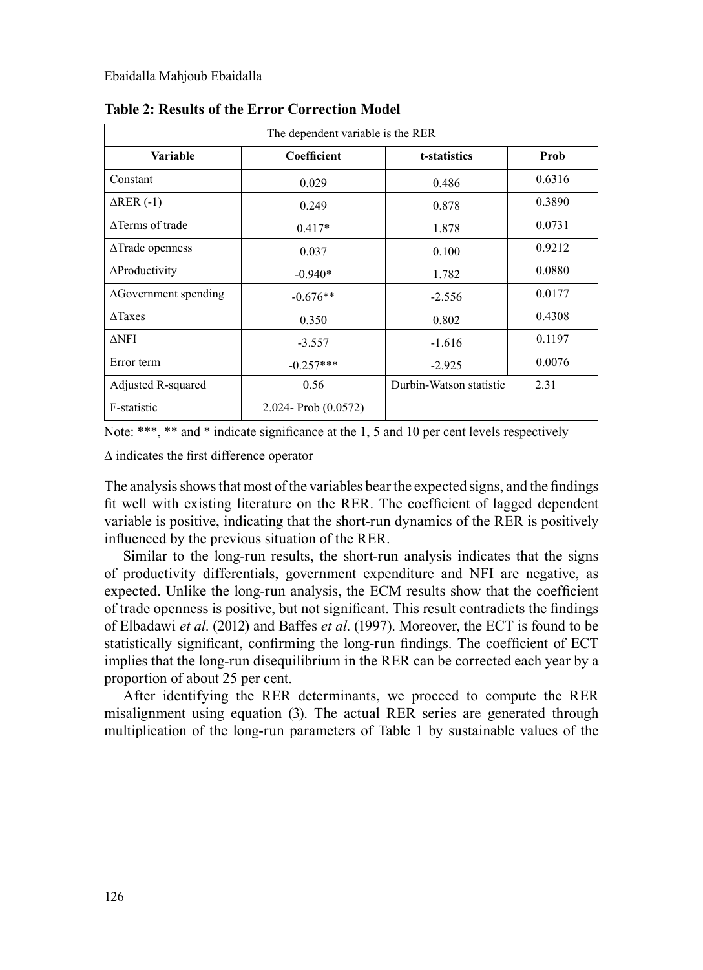| The dependent variable is the RER  |                        |                         |        |  |  |  |
|------------------------------------|------------------------|-------------------------|--------|--|--|--|
| <b>Variable</b>                    | Coefficient            | t-statistics            | Prob   |  |  |  |
| Constant                           | 0.029                  | 0.486                   | 0.6316 |  |  |  |
| $\triangle$ RER (-1)               | 0.249                  | 0.878                   | 0.3890 |  |  |  |
| ATerms of trade                    | $0.417*$               | 1.878                   | 0.0731 |  |  |  |
| $\triangle \text{T}$ rade openness | 0.037                  | 0.100                   | 0.9212 |  |  |  |
| $\Delta$ Productivity              | $-0.940*$              | 1.782                   | 0.0880 |  |  |  |
| $\Delta$ Government spending       | $-0.676**$             | $-2.556$                | 0.0177 |  |  |  |
| $\triangle$ Taxes                  | 0.350                  | 0.802                   | 0.4308 |  |  |  |
| $\Delta$ NFI                       | $-3.557$               | $-1.616$                | 0.1197 |  |  |  |
| Error term                         | $-0.257***$            | $-2.925$                | 0.0076 |  |  |  |
| Adjusted R-squared                 | 0.56                   | Durbin-Watson statistic | 2.31   |  |  |  |
| F-statistic                        | $2.024 - Prob(0.0572)$ |                         |        |  |  |  |

**Table 2: Results of the Error Correction Model**

Note: \*\*\*, \*\* and \* indicate significance at the 1, 5 and 10 per cent levels respectively

∆ indicates the first difference operator

The analysis shows that most of the variables bear the expected signs, and the findings fit well with existing literature on the RER. The coefficient of lagged dependent variable is positive, indicating that the short-run dynamics of the RER is positively influenced by the previous situation of the RER.

Similar to the long-run results, the short-run analysis indicates that the signs of productivity differentials, government expenditure and NFI are negative, as expected. Unlike the long-run analysis, the ECM results show that the coefficient of trade openness is positive, but not significant. This result contradicts the findings of Elbadawi *et al*. (2012) and Baffes *et al*. (1997). Moreover, the ECT is found to be statistically significant, confirming the long-run findings. The coefficient of ECT implies that the long-run disequilibrium in the RER can be corrected each year by a proportion of about 25 per cent.

After identifying the RER determinants, we proceed to compute the RER misalignment using equation (3). The actual RER series are generated through multiplication of the long-run parameters of Table 1 by sustainable values of the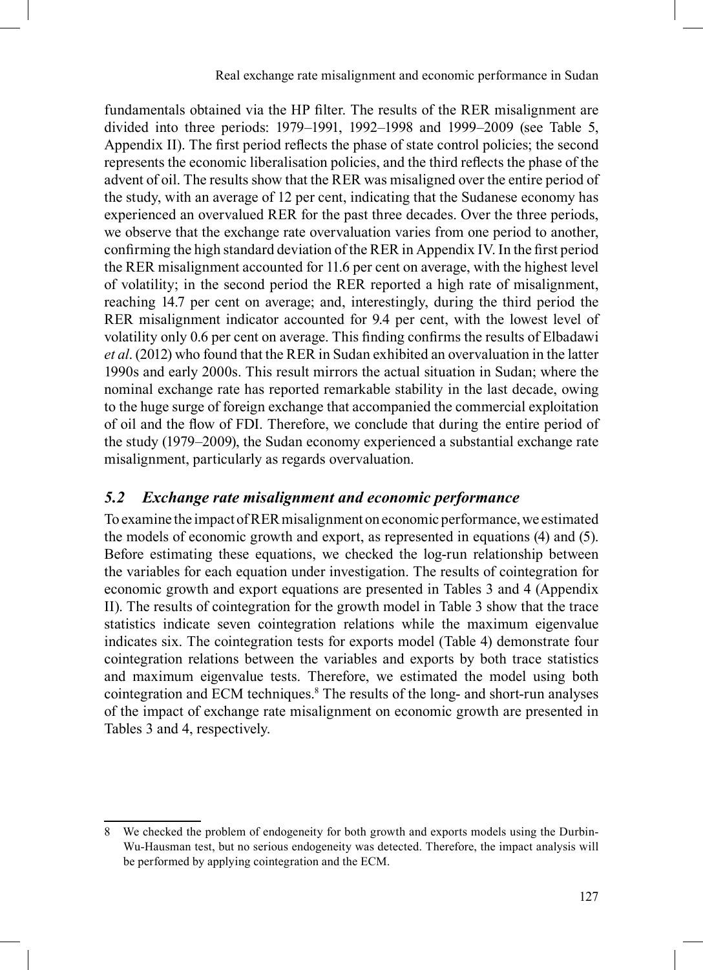fundamentals obtained via the HP filter. The results of the RER misalignment are divided into three periods: 1979–1991, 1992–1998 and 1999–2009 (see Table 5, Appendix II). The first period reflects the phase of state control policies; the second represents the economic liberalisation policies, and the third reflects the phase of the advent of oil. The results show that the RER was misaligned over the entire period of the study, with an average of 12 per cent, indicating that the Sudanese economy has experienced an overvalued RER for the past three decades. Over the three periods, we observe that the exchange rate overvaluation varies from one period to another, confirming the high standard deviation of the RER in Appendix IV. In the first period the RER misalignment accounted for 11.6 per cent on average, with the highest level of volatility; in the second period the RER reported a high rate of misalignment, reaching 14.7 per cent on average; and, interestingly, during the third period the RER misalignment indicator accounted for 9.4 per cent, with the lowest level of volatility only 0.6 per cent on average. This finding confirms the results of Elbadawi *et al*. (2012) who found that the RER in Sudan exhibited an overvaluation in the latter 1990s and early 2000s. This result mirrors the actual situation in Sudan; where the nominal exchange rate has reported remarkable stability in the last decade, owing to the huge surge of foreign exchange that accompanied the commercial exploitation of oil and the flow of FDI. Therefore, we conclude that during the entire period of the study (1979–2009), the Sudan economy experienced a substantial exchange rate misalignment, particularly as regards overvaluation.

#### *5.2 Exchange rate misalignment and economic performance*

To examine the impact of RER misalignment on economic performance, we estimated the models of economic growth and export, as represented in equations (4) and (5). Before estimating these equations, we checked the log-run relationship between the variables for each equation under investigation. The results of cointegration for economic growth and export equations are presented in Tables 3 and 4 (Appendix II). The results of cointegration for the growth model in Table 3 show that the trace statistics indicate seven cointegration relations while the maximum eigenvalue indicates six. The cointegration tests for exports model (Table 4) demonstrate four cointegration relations between the variables and exports by both trace statistics and maximum eigenvalue tests. Therefore, we estimated the model using both cointegration and ECM techniques.8 The results of the long- and short-run analyses of the impact of exchange rate misalignment on economic growth are presented in Tables 3 and 4, respectively.

<sup>8</sup> We checked the problem of endogeneity for both growth and exports models using the Durbin-Wu-Hausman test, but no serious endogeneity was detected. Therefore, the impact analysis will be performed by applying cointegration and the ECM.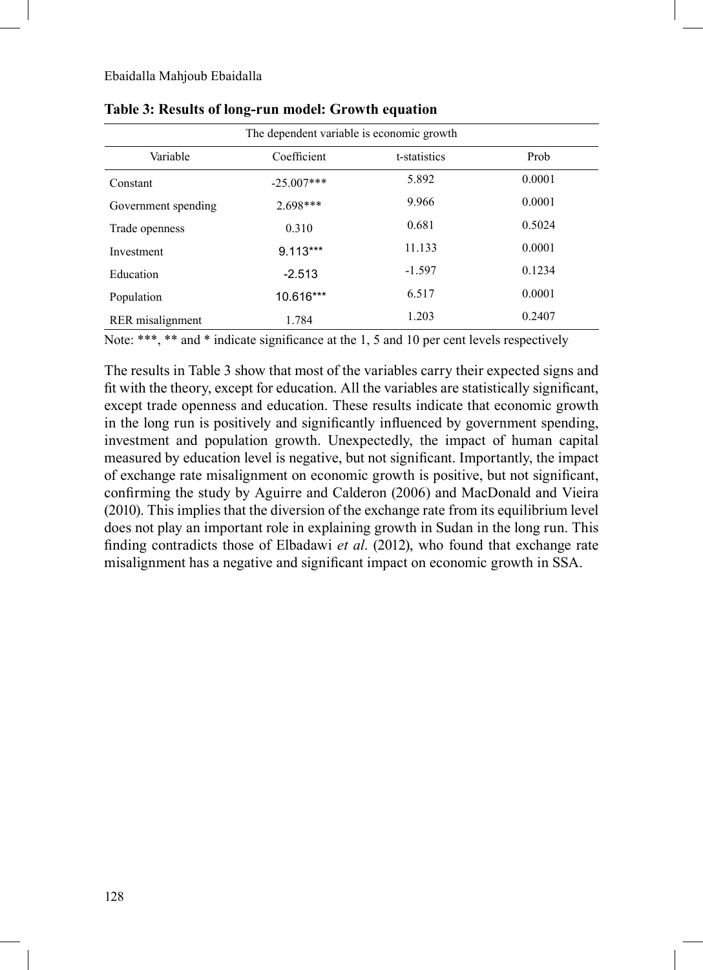| The dependent variable is economic growth |              |          |        |  |  |
|-------------------------------------------|--------------|----------|--------|--|--|
| Variable                                  | Prob         |          |        |  |  |
| Constant                                  | $-25.007***$ | 5.892    | 0.0001 |  |  |
| Government spending                       | 2.698***     | 9.966    | 0.0001 |  |  |
| Trade openness                            | 0.310        | 0.681    | 0.5024 |  |  |
| Investment                                | $9.113***$   | 11.133   | 0.0001 |  |  |
| Education                                 | $-2.513$     | $-1.597$ | 0.1234 |  |  |
| Population                                | 10.616***    | 6.517    | 0.0001 |  |  |
| RER misalignment                          | 1.784        | 1.203    | 0.2407 |  |  |

#### **Table 3: Results of long-run model: Growth equation**

Note: \*\*\*, \*\* and \* indicate significance at the 1, 5 and 10 per cent levels respectively

The results in Table 3 show that most of the variables carry their expected signs and fit with the theory, except for education. All the variables are statistically significant, except trade openness and education. These results indicate that economic growth in the long run is positively and significantly influenced by government spending, investment and population growth. Unexpectedly, the impact of human capital measured by education level is negative, but not significant. Importantly, the impact of exchange rate misalignment on economic growth is positive, but not significant, confirming the study by Aguirre and Calderon (2006) and MacDonald and Vieira (2010). This implies that the diversion of the exchange rate from its equilibrium level does not play an important role in explaining growth in Sudan in the long run. This finding contradicts those of Elbadawi *et al*. (2012), who found that exchange rate misalignment has a negative and significant impact on economic growth in SSA.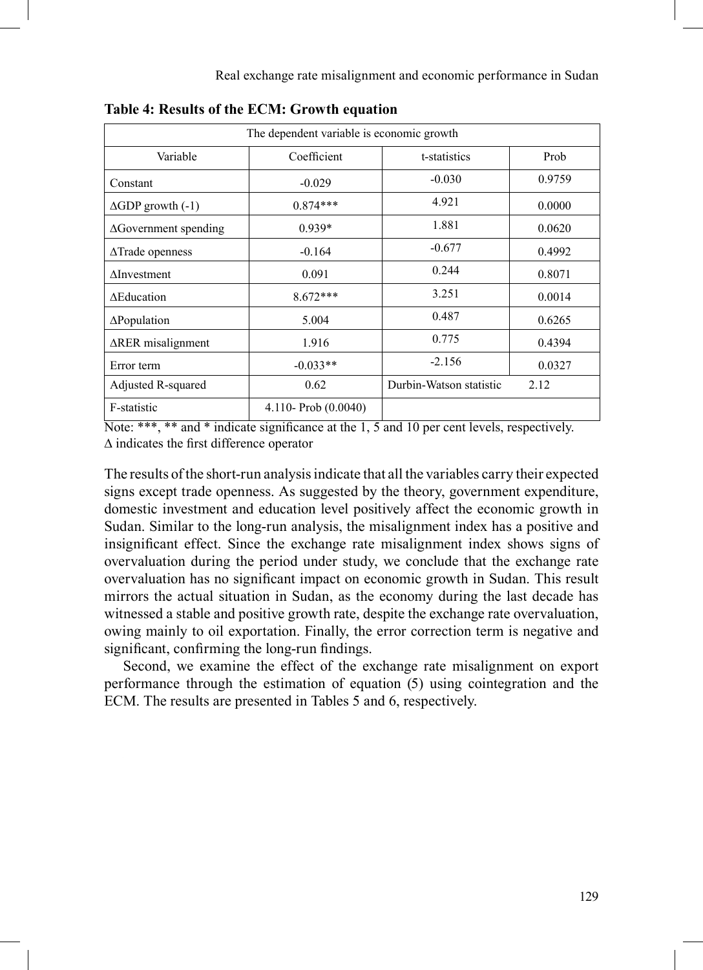| The dependent variable is economic growth. |                        |                         |        |  |  |  |
|--------------------------------------------|------------------------|-------------------------|--------|--|--|--|
| Coefficient<br>Variable<br>t-statistics    |                        |                         |        |  |  |  |
| Constant                                   | $-0.029$               | $-0.030$                | 0.9759 |  |  |  |
| $\triangle$ GDP growth $(-1)$              | $0.874***$             | 4.921                   | 0.0000 |  |  |  |
| $\Delta$ Government spending               | $0.939*$               | 1.881                   | 0.0620 |  |  |  |
| $\triangle \text{T}$ rade openness         | $-0.164$               | $-0.677$                | 0.4992 |  |  |  |
| $\Delta$ Investment                        | 0.091                  | 0.244                   | 0.8071 |  |  |  |
| <b>AEducation</b>                          | $8.672***$             | 3.251                   | 0.0014 |  |  |  |
| $\Delta$ Population                        | 5.004                  | 0.487                   | 0.6265 |  |  |  |
| $\triangle$ RER misalignment               | 1.916                  | 0.775                   | 0.4394 |  |  |  |
| Error term                                 | $-0.033**$             | $-2.156$                | 0.0327 |  |  |  |
| Adjusted R-squared                         | 0.62                   | Durbin-Watson statistic | 2.12   |  |  |  |
| F-statistic                                | 4.110- Prob $(0.0040)$ |                         |        |  |  |  |

**Table 4: Results of the ECM: Growth equation**

Note: \*\*\*, \*\* and \* indicate significance at the 1, 5 and 10 per cent levels, respectively. ∆ indicates the first difference operator

The results of the short-run analysis indicate that all the variables carry their expected signs except trade openness. As suggested by the theory, government expenditure, domestic investment and education level positively affect the economic growth in Sudan. Similar to the long-run analysis, the misalignment index has a positive and insignificant effect. Since the exchange rate misalignment index shows signs of overvaluation during the period under study, we conclude that the exchange rate overvaluation has no significant impact on economic growth in Sudan. This result mirrors the actual situation in Sudan, as the economy during the last decade has witnessed a stable and positive growth rate, despite the exchange rate overvaluation, owing mainly to oil exportation. Finally, the error correction term is negative and significant, confirming the long-run findings.

Second, we examine the effect of the exchange rate misalignment on export performance through the estimation of equation (5) using cointegration and the ECM. The results are presented in Tables 5 and 6, respectively.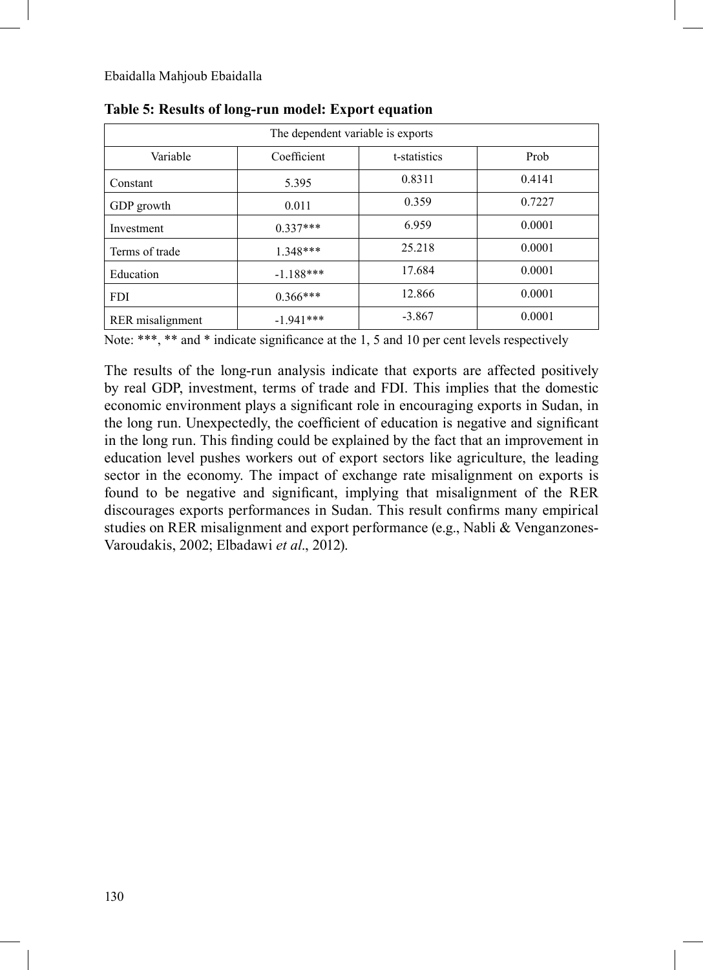| The dependent variable is exports       |             |          |        |  |  |  |
|-----------------------------------------|-------------|----------|--------|--|--|--|
| Variable<br>Coefficient<br>t-statistics |             |          |        |  |  |  |
| Constant                                | 5.395       | 0.8311   | 0.4141 |  |  |  |
| GDP growth                              | 0.011       | 0.359    | 0.7227 |  |  |  |
| Investment                              | $0.337***$  | 6.959    | 0.0001 |  |  |  |
| Terms of trade                          | $1.348***$  | 25.218   | 0.0001 |  |  |  |
| Education                               | $-1.188***$ | 17.684   | 0.0001 |  |  |  |
| <b>FDI</b>                              | $0.366***$  | 12.866   | 0.0001 |  |  |  |
| RER misalignment                        | $-1.941***$ | $-3.867$ | 0.0001 |  |  |  |

**Table 5: Results of long-run model: Export equation**

Note: \*\*\*, \*\* and \* indicate significance at the 1, 5 and 10 per cent levels respectively

The results of the long-run analysis indicate that exports are affected positively by real GDP, investment, terms of trade and FDI. This implies that the domestic economic environment plays a significant role in encouraging exports in Sudan, in the long run. Unexpectedly, the coefficient of education is negative and significant in the long run. This finding could be explained by the fact that an improvement in education level pushes workers out of export sectors like agriculture, the leading sector in the economy. The impact of exchange rate misalignment on exports is found to be negative and significant, implying that misalignment of the RER discourages exports performances in Sudan. This result confirms many empirical studies on RER misalignment and export performance (e.g., Nabli & Venganzones-Varoudakis, 2002; Elbadawi *et al*., 2012).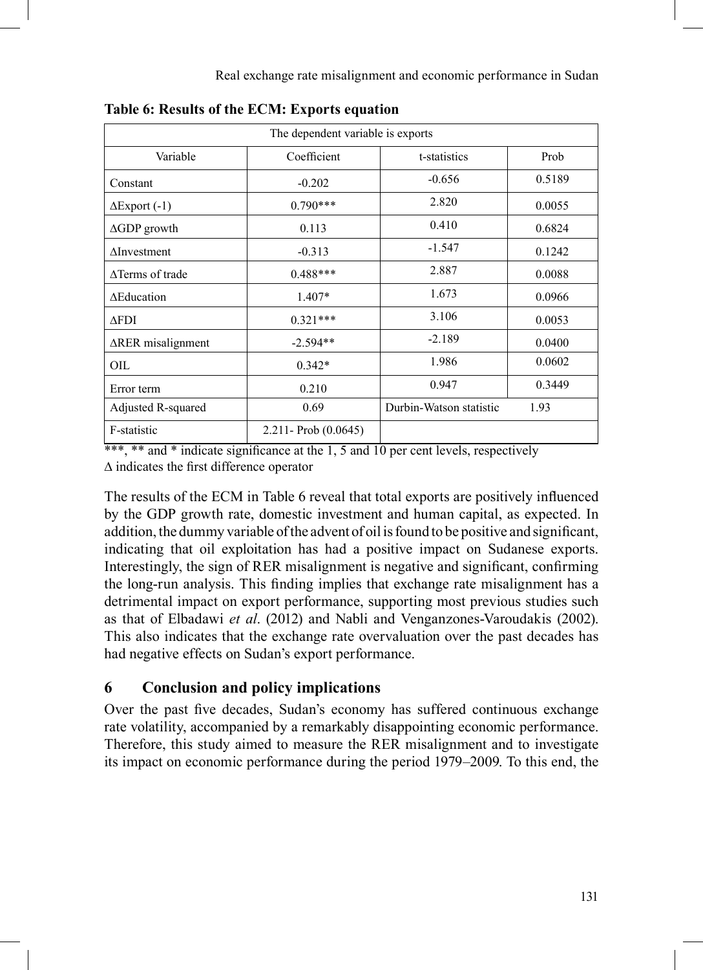| The dependent variable is exports |                        |                         |        |  |  |  |
|-----------------------------------|------------------------|-------------------------|--------|--|--|--|
| Variable                          | Coefficient            | t-statistics            | Prob   |  |  |  |
| Constant                          | $-0.202$               | $-0.656$                | 0.5189 |  |  |  |
| $\Delta$ Export (-1)              | $0.790***$             | 2.820                   | 0.0055 |  |  |  |
| $\triangle$ GDP growth            | 0.113                  | 0.410                   | 0.6824 |  |  |  |
| $\Delta$ Investment               | $-0.313$               | $-1.547$                | 0.1242 |  |  |  |
| ATerms of trade                   | $0.488***$             | 2.887                   | 0.0088 |  |  |  |
| <b>AEducation</b>                 | $1.407*$               | 1.673                   | 0.0966 |  |  |  |
| <b>AFDI</b>                       | $0.321***$             | 3.106                   | 0.0053 |  |  |  |
| $\Delta$ RER misalignment         | $-2.594**$             | $-2.189$                | 0.0400 |  |  |  |
| OIL                               | $0.342*$               | 1.986                   | 0.0602 |  |  |  |
| Error term                        | 0.210                  | 0.947                   | 0.3449 |  |  |  |
| Adjusted R-squared                | 0.69                   | Durbin-Watson statistic | 1.93   |  |  |  |
| F-statistic                       | $2.211 - Prob(0.0645)$ |                         |        |  |  |  |

|  |  |  |  |  | Table 6: Results of the ECM: Exports equation |
|--|--|--|--|--|-----------------------------------------------|
|--|--|--|--|--|-----------------------------------------------|

\*\*\*, \*\* and \* indicate significance at the 1, 5 and 10 per cent levels, respectively ∆ indicates the first difference operator

The results of the ECM in Table 6 reveal that total exports are positively influenced by the GDP growth rate, domestic investment and human capital, as expected. In addition, the dummy variable of the advent of oil is found to be positive and significant, indicating that oil exploitation has had a positive impact on Sudanese exports. Interestingly, the sign of RER misalignment is negative and significant, confirming the long-run analysis. This finding implies that exchange rate misalignment has a detrimental impact on export performance, supporting most previous studies such as that of Elbadawi *et al*. (2012) and Nabli and Venganzones-Varoudakis (2002). This also indicates that the exchange rate overvaluation over the past decades has had negative effects on Sudan's export performance.

# **6 Conclusion and policy implications**

Over the past five decades, Sudan's economy has suffered continuous exchange rate volatility, accompanied by a remarkably disappointing economic performance. Therefore, this study aimed to measure the RER misalignment and to investigate its impact on economic performance during the period 1979–2009. To this end, the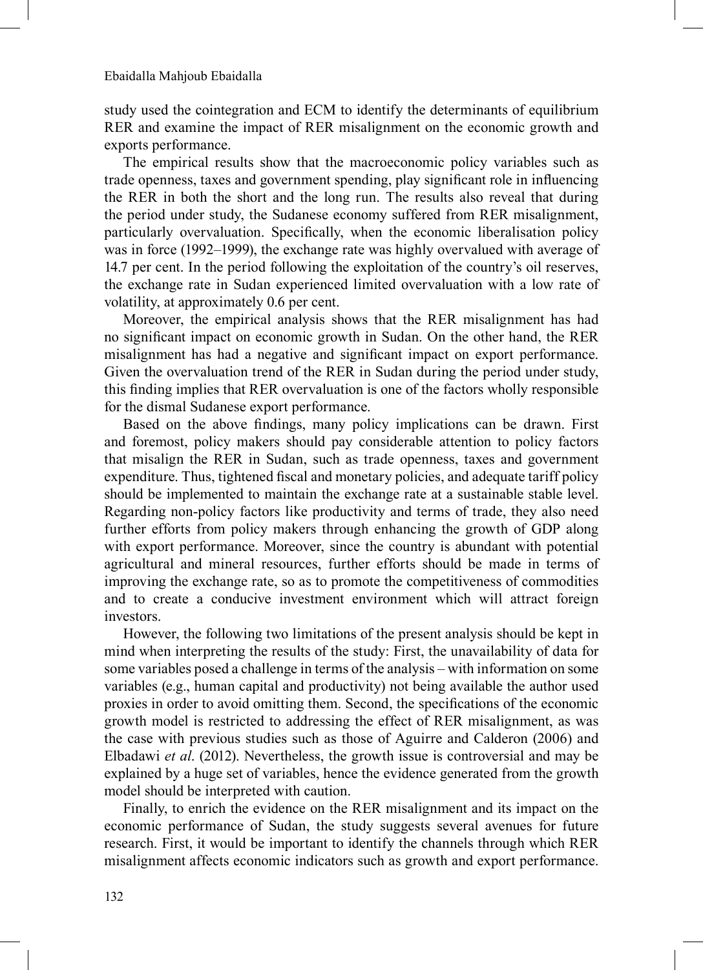study used the cointegration and ECM to identify the determinants of equilibrium RER and examine the impact of RER misalignment on the economic growth and exports performance.

The empirical results show that the macroeconomic policy variables such as trade openness, taxes and government spending, play significant role in influencing the RER in both the short and the long run. The results also reveal that during the period under study, the Sudanese economy suffered from RER misalignment, particularly overvaluation. Specifically, when the economic liberalisation policy was in force (1992–1999), the exchange rate was highly overvalued with average of 14.7 per cent. In the period following the exploitation of the country's oil reserves, the exchange rate in Sudan experienced limited overvaluation with a low rate of volatility, at approximately 0.6 per cent.

Moreover, the empirical analysis shows that the RER misalignment has had no significant impact on economic growth in Sudan. On the other hand, the RER misalignment has had a negative and significant impact on export performance. Given the overvaluation trend of the RER in Sudan during the period under study, this finding implies that RER overvaluation is one of the factors wholly responsible for the dismal Sudanese export performance.

Based on the above findings, many policy implications can be drawn. First and foremost, policy makers should pay considerable attention to policy factors that misalign the RER in Sudan, such as trade openness, taxes and government expenditure. Thus, tightened fiscal and monetary policies, and adequate tariff policy should be implemented to maintain the exchange rate at a sustainable stable level. Regarding non-policy factors like productivity and terms of trade, they also need further efforts from policy makers through enhancing the growth of GDP along with export performance. Moreover, since the country is abundant with potential agricultural and mineral resources, further efforts should be made in terms of improving the exchange rate, so as to promote the competitiveness of commodities and to create a conducive investment environment which will attract foreign investors.

However, the following two limitations of the present analysis should be kept in mind when interpreting the results of the study: First, the unavailability of data for some variables posed a challenge in terms of the analysis – with information on some variables (e.g., human capital and productivity) not being available the author used proxies in order to avoid omitting them. Second, the specifications of the economic growth model is restricted to addressing the effect of RER misalignment, as was the case with previous studies such as those of Aguirre and Calderon (2006) and Elbadawi *et al*. (2012). Nevertheless, the growth issue is controversial and may be explained by a huge set of variables, hence the evidence generated from the growth model should be interpreted with caution.

Finally, to enrich the evidence on the RER misalignment and its impact on the economic performance of Sudan, the study suggests several avenues for future research. First, it would be important to identify the channels through which RER misalignment affects economic indicators such as growth and export performance.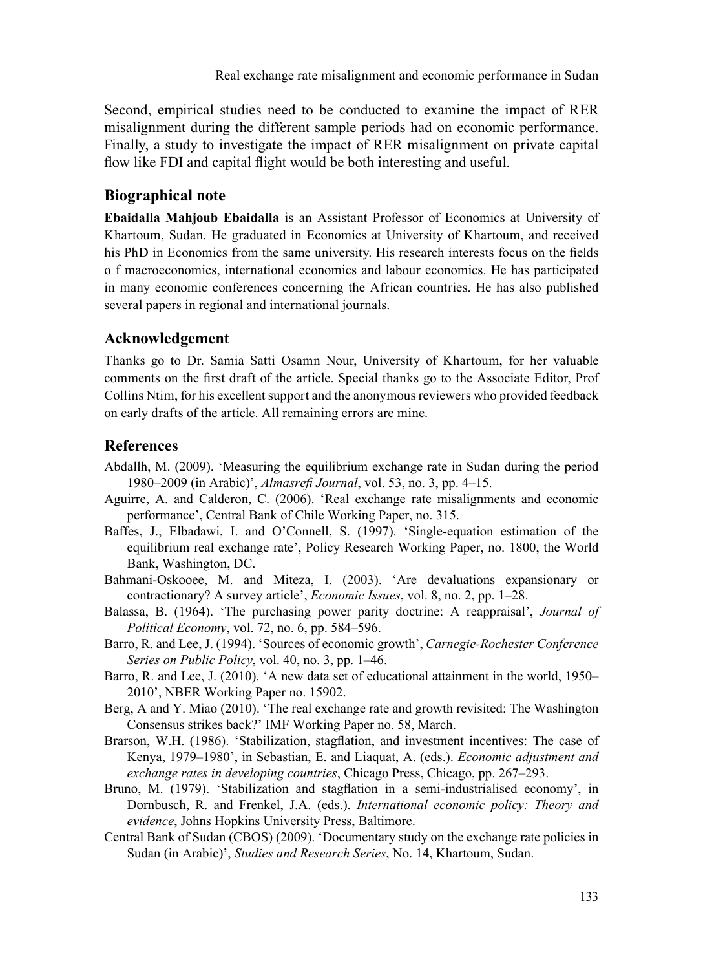Second, empirical studies need to be conducted to examine the impact of RER misalignment during the different sample periods had on economic performance. Finally, a study to investigate the impact of RER misalignment on private capital flow like FDI and capital flight would be both interesting and useful.

## **Biographical note**

**Ebaidalla Mahjoub Ebaidalla** is an Assistant Professor of Economics at University of Khartoum, Sudan. He graduated in Economics at University of Khartoum, and received his PhD in Economics from the same university. His research interests focus on the fields o f macroeconomics, international economics and labour economics. He has participated in many economic conferences concerning the African countries. He has also published several papers in regional and international journals.

#### **Acknowledgement**

Thanks go to Dr. Samia Satti Osamn Nour, University of Khartoum, for her valuable comments on the first draft of the article. Special thanks go to the Associate Editor, Prof Collins Ntim, for his excellent support and the anonymous reviewers who provided feedback on early drafts of the article. All remaining errors are mine.

#### **References**

- Abdallh, M. (2009). 'Measuring the equilibrium exchange rate in Sudan during the period 1980–2009 (in Arabic)', *Almasrefi Journal*, vol. 53, no. 3, pp. 4–15.
- Aguirre, A. and Calderon, C. (2006). 'Real exchange rate misalignments and economic performance', Central Bank of Chile Working Paper, no. 315.
- Baffes, J., Elbadawi, I. and O'Connell, S. (1997). 'Single-equation estimation of the equilibrium real exchange rate', Policy Research Working Paper, no. 1800, the World Bank, Washington, DC.
- Bahmani-Oskooee, M. and Miteza, I. (2003). 'Are devaluations expansionary or contractionary? A survey article', *Economic Issues*, vol. 8, no. 2, pp. 1–28.
- Balassa, B. (1964). 'The purchasing power parity doctrine: A reappraisal', *Journal of Political Economy*, vol. 72, no. 6, pp. 584–596.
- Barro, R. and Lee, J. (1994). 'Sources of economic growth', *Carnegie-Rochester Conference Series on Public Policy*, vol. 40, no. 3, pp. 1–46.
- Barro, R. and Lee, J. (2010). 'A new data set of educational attainment in the world, 1950– 2010', NBER Working Paper no. 15902.
- Berg, A and Y. Miao (2010). 'The real exchange rate and growth revisited: The Washington Consensus strikes back?' IMF Working Paper no. 58, March.
- Brarson, W.H. (1986). 'Stabilization, stagflation, and investment incentives: The case of Kenya, 1979–1980', in Sebastian, E. and Liaquat, A. (eds.). *Economic adjustment and exchange rates in developing countries*, Chicago Press, Chicago, pp. 267–293.
- Bruno, M. (1979). 'Stabilization and stagflation in a semi-industrialised economy', in Dornbusch, R. and Frenkel, J.A. (eds.). *International economic policy: Theory and evidence*, Johns Hopkins University Press, Baltimore.
- Central Bank of Sudan (CBOS) (2009). 'Documentary study on the exchange rate policies in Sudan (in Arabic)', *Studies and Research Series*, No. 14, Khartoum, Sudan.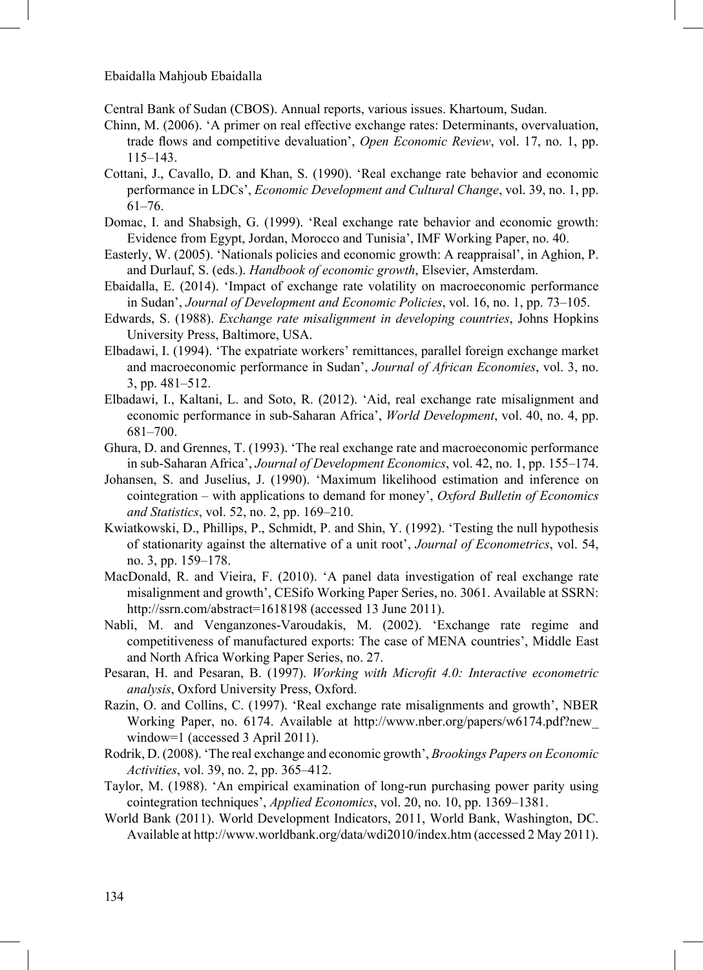Central Bank of Sudan (CBOS). Annual reports, various issues. Khartoum, Sudan.

- Chinn, M. (2006). 'A primer on real effective exchange rates: Determinants, overvaluation, trade flows and competitive devaluation', *Open Economic Review*, vol. 17, no. 1, pp. 115–143.
- Cottani, J., Cavallo, D. and Khan, S. (1990). 'Real exchange rate behavior and economic performance in LDCs', *Economic Development and Cultural Change*, vol. 39, no. 1, pp. 61–76.
- Domac, I. and Shabsigh, G. (1999). 'Real exchange rate behavior and economic growth: Evidence from Egypt, Jordan, Morocco and Tunisia', IMF Working Paper, no. 40.
- Easterly, W. (2005). 'Nationals policies and economic growth: A reappraisal', in Aghion, P. and Durlauf, S. (eds.). *Handbook of economic growth*, Elsevier, Amsterdam.
- Ebaidalla, E. (2014). 'Impact of exchange rate volatility on macroeconomic performance in Sudan', *Journal of Development and Economic Policies*, vol. 16, no. 1, pp. 73–105.
- Edwards, S. (1988). *Exchange rate misalignment in developing countries*, Johns Hopkins University Press, Baltimore, USA.
- Elbadawi, I. (1994). 'The expatriate workers' remittances, parallel foreign exchange market and macroeconomic performance in Sudan', *Journal of African Economies*, vol. 3, no. 3, pp. 481–512.
- Elbadawi, I., Kaltani, L. and Soto, R. (2012). 'Aid, real exchange rate misalignment and economic performance in sub-Saharan Africa', *World Development*, vol. 40, no. 4, pp. 681–700.
- Ghura, D. and Grennes, T. (1993). 'The real exchange rate and macroeconomic performance in sub-Saharan Africa', *Journal of Development Economics*, vol. 42, no. 1, pp. 155–174.
- Johansen, S. and Juselius, J. (1990). 'Maximum likelihood estimation and inference on cointegration – with applications to demand for money', *Oxford Bulletin of Economics and Statistics*, vol. 52, no. 2, pp. 169–210.
- Kwiatkowski, D., Phillips, P., Schmidt, P. and Shin, Y. (1992). 'Testing the null hypothesis of stationarity against the alternative of a unit root', *Journal of Econometrics*, vol. 54, no. 3, pp. 159–178.
- MacDonald, R. and Vieira, F. (2010). 'A panel data investigation of real exchange rate misalignment and growth', CESifo Working Paper Series, no. 3061. Available at SSRN: http://ssrn.com/abstract=1618198 (accessed 13 June 2011).
- Nabli, M. and Venganzones-Varoudakis, M. (2002). 'Exchange rate regime and competitiveness of manufactured exports: The case of MENA countries', Middle East and North Africa Working Paper Series, no. 27.
- Pesaran, H. and Pesaran, B. (1997). *Working with Microfit 4.0: Interactive econometric analysis*, Oxford University Press, Oxford.
- Razin, O. and Collins, C. (1997). 'Real exchange rate misalignments and growth', NBER Working Paper, no. 6174. Available at http://www.nber.org/papers/w6174.pdf?new\_ window=1 (accessed 3 April 2011).
- Rodrik, D. (2008). 'The real exchange and economic growth', *Brookings Papers on Economic Activities*, vol. 39, no. 2, pp. 365–412.
- Taylor, M. (1988). 'An empirical examination of long-run purchasing power parity using cointegration techniques', *Applied Economics*, vol. 20, no. 10, pp. 1369–1381.
- World Bank (2011). World Development Indicators, 2011, World Bank, Washington, DC. Available at http://www.worldbank.org/data/wdi2010/index.htm (accessed 2 May 2011).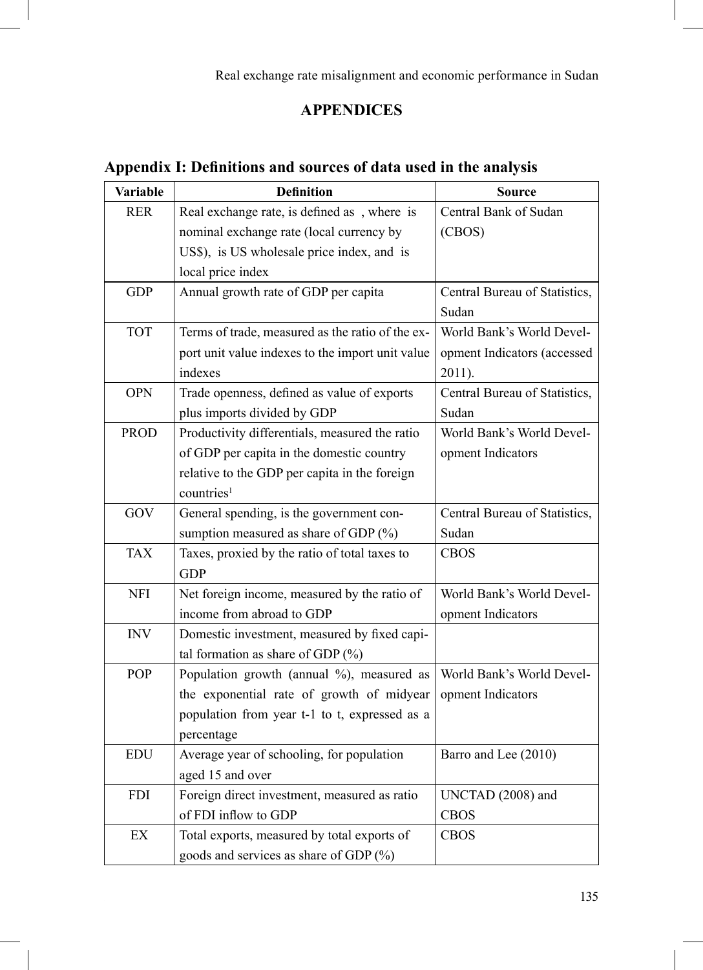Real exchange rate misalignment and economic performance in Sudan

# <sup>10</sup>**APPENDICES**

# **Appendix I: Definitions and sources of data used in the analysis**

| <b>Variable</b>            | <b>Definition</b>                                | <b>Source</b>                 |
|----------------------------|--------------------------------------------------|-------------------------------|
| <b>RER</b>                 | Real exchange rate, is defined as, where is      | Central Bank of Sudan         |
|                            | nominal exchange rate (local currency by         | (CBOS)                        |
|                            | US\$), is US wholesale price index, and is       |                               |
|                            | local price index                                |                               |
| <b>GDP</b>                 | Annual growth rate of GDP per capita             | Central Bureau of Statistics, |
|                            |                                                  | Sudan                         |
| <b>TOT</b>                 | Terms of trade, measured as the ratio of the ex- | World Bank's World Devel-     |
|                            | port unit value indexes to the import unit value | opment Indicators (accessed   |
|                            | indexes                                          | 2011).                        |
| <b>OPN</b>                 | Trade openness, defined as value of exports      | Central Bureau of Statistics, |
|                            | plus imports divided by GDP                      | Sudan                         |
| <b>PROD</b>                | Productivity differentials, measured the ratio   | World Bank's World Devel-     |
|                            | of GDP per capita in the domestic country        | opment Indicators             |
|                            | relative to the GDP per capita in the foreign    |                               |
|                            | countries <sup>1</sup>                           |                               |
| GOV                        | General spending, is the government con-         | Central Bureau of Statistics, |
|                            | sumption measured as share of GDP (%)            | Sudan                         |
| <b>TAX</b>                 | Taxes, proxied by the ratio of total taxes to    | <b>CBOS</b>                   |
|                            | <b>GDP</b>                                       |                               |
| <b>NFI</b>                 | Net foreign income, measured by the ratio of     | World Bank's World Devel-     |
|                            | income from abroad to GDP                        | opment Indicators             |
| <b>INV</b>                 | Domestic investment, measured by fixed capi-     |                               |
|                            | tal formation as share of GDP $(\%)$             |                               |
| <b>POP</b>                 | Population growth (annual %), measured as        | World Bank's World Devel-     |
|                            | the exponential rate of growth of midyear        | opment Indicators             |
|                            | population from year t-1 to t, expressed as a    |                               |
|                            | percentage                                       |                               |
| <b>EDU</b>                 | Average year of schooling, for population        | Barro and Lee (2010)          |
|                            | aged 15 and over                                 |                               |
| <b>FDI</b>                 | Foreign direct investment, measured as ratio     | UNCTAD (2008) and             |
|                            | of FDI inflow to GDP                             | <b>CBOS</b>                   |
| $\mathop{\rm EX}\nolimits$ | Total exports, measured by total exports of      | <b>CBOS</b>                   |
|                            | goods and services as share of GDP (%)           |                               |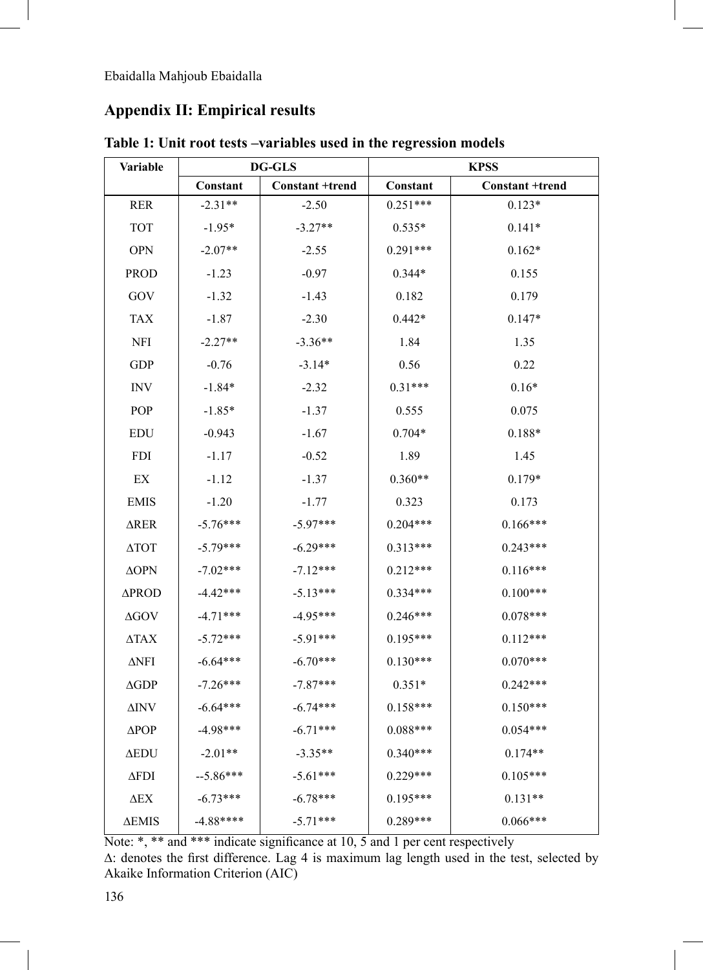# **Appendix II: Empirical results**

| Variable                   |            | <b>DG-GLS</b>          |            | <b>KPSS</b>            |
|----------------------------|------------|------------------------|------------|------------------------|
|                            | Constant   | <b>Constant +trend</b> | Constant   | <b>Constant +trend</b> |
| <b>RER</b>                 | $-2.31**$  | $-2.50$                | $0.251***$ | $0.123*$               |
| <b>TOT</b>                 | $-1.95*$   | $-3.27**$              | $0.535*$   | $0.141*$               |
| <b>OPN</b>                 | $-2.07**$  | $-2.55$                | $0.291***$ | $0.162*$               |
| <b>PROD</b>                | $-1.23$    | $-0.97$                | $0.344*$   | 0.155                  |
| GOV                        | $-1.32$    | $-1.43$                | 0.182      | 0.179                  |
| <b>TAX</b>                 | $-1.87$    | $-2.30$                | $0.442*$   | $0.147*$               |
| <b>NFI</b>                 | $-2.27**$  | $-3.36**$              | 1.84       | 1.35                   |
| GDP                        | $-0.76$    | $-3.14*$               | 0.56       | 0.22                   |
| <b>INV</b>                 | $-1.84*$   | $-2.32$                | $0.31***$  | $0.16*$                |
| POP                        | $-1.85*$   | $-1.37$                | 0.555      | 0.075                  |
| <b>EDU</b>                 | $-0.943$   | $-1.67$                | $0.704*$   | $0.188*$               |
| <b>FDI</b>                 | $-1.17$    | $-0.52$                | 1.89       | 1.45                   |
| $\mathop{\rm EX}\nolimits$ | $-1.12$    | $-1.37$                | $0.360**$  | $0.179*$               |
| <b>EMIS</b>                | $-1.20$    | $-1.77$                | 0.323      | 0.173                  |
| ∆RER                       | $-5.76***$ | $-5.97***$             | $0.204***$ | $0.166***$             |
| $\triangle TOT$            | $-5.79***$ | $-6.29***$             | $0.313***$ | $0.243***$             |
| $\Delta \text{OPN}$        | $-7.02***$ | $-7.12***$             | $0.212***$ | $0.116***$             |
| ∆PROD                      | $-4.42***$ | $-5.13***$             | 0.334***   | $0.100***$             |
| $\Delta GOV$               | $-4.71***$ | $-4.95***$             | $0.246***$ | $0.078***$             |
| $\triangle$ TAX            | $-5.72***$ | $-5.91***$             | $0.195***$ | $0.112***$             |
| $\Delta$ NFI               | $-6.64***$ | $-6.70***$             | $0.130***$ | $0.070***$             |
| $\Delta GDP$               | $-7.26***$ | $-7.87***$             | $0.351*$   | $0.242***$             |
| $\Delta \text{INV}$        | $-6.64***$ | $-6.74***$             | 0.158***   | $0.150***$             |
| $\triangle POP$            | $-4.98***$ | $-6.71***$             | $0.088***$ | $0.054***$             |
| $\Delta$ EDU               | $-2.01**$  | $-3.35**$              | $0.340***$ | $0.174**$              |
| $\Delta$ FDI               | $-5.86***$ | $-5.61***$             | $0.229***$ | $0.105***$             |
| $\Delta$ EX                | $-6.73***$ | $-6.78***$             | $0.195***$ | $0.131**$              |
| ΔEMIS                      | $-4.88***$ | $-5.71***$             | 0.289***   | $0.066***$             |

**Table 1: Unit root tests –variables used in the regression models**

Note: \*, \*\* and \*\*\* indicate significance at 10, 5 and 1 per cent respectively

∆: denotes the first difference. Lag 4 is maximum lag length used in the test, selected by Akaike Information Criterion (AIC)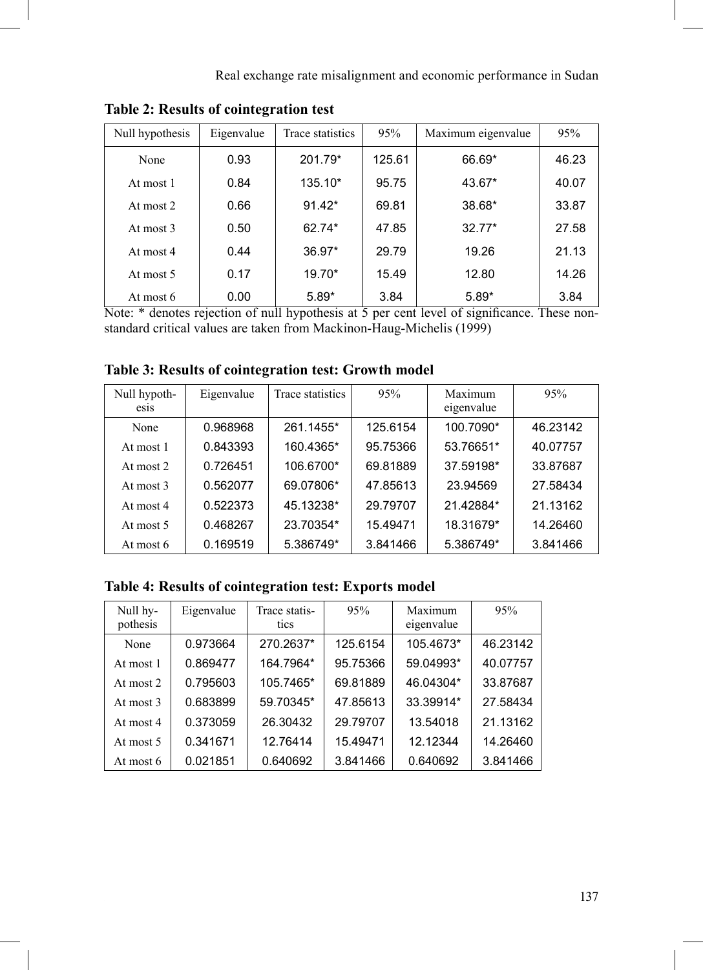| Null hypothesis | Eigenvalue | Trace statistics | 95%    | Maximum eigenvalue | 95%   |
|-----------------|------------|------------------|--------|--------------------|-------|
| None            | 0.93       | 201.79*          | 125.61 | 66.69*             | 46.23 |
| At most 1       | 0.84       | 135.10*          | 95.75  | 43.67*             | 40.07 |
| At most 2       | 0.66       | $91.42*$         | 69.81  | 38.68*             | 33.87 |
| At most 3       | 0.50       | 62.74*           | 47.85  | $32.77*$           | 27.58 |
| At most 4       | 0.44       | $36.97*$         | 29.79  | 19.26              | 21.13 |
| At most 5       | 0.17       | 19.70*           | 15.49  | 12.80              | 14.26 |
| At most 6       | 0.00       | $5.89*$          | 3.84   | $5.89*$            | 3.84  |

**Table 2: Results of cointegration test**

Note: \* denotes rejection of null hypothesis at 5 per cent level of significance. These nonstandard critical values are taken from Mackinon-Haug-Michelis (1999)

|  |  |  |  | Table 3: Results of cointegration test: Growth model |
|--|--|--|--|------------------------------------------------------|
|--|--|--|--|------------------------------------------------------|

| Null hypoth-<br>esis | Eigenvalue | Trace statistics | 95%      | Maximum<br>eigenvalue | 95%      |
|----------------------|------------|------------------|----------|-----------------------|----------|
| None                 | 0.968968   | 261.1455*        | 125.6154 | 100.7090*             | 46.23142 |
| At most 1            | 0.843393   | 160.4365*        | 95.75366 | 53.76651*             | 40.07757 |
| At most $2$          | 0.726451   | 106.6700*        | 69.81889 | 37.59198*             | 33.87687 |
| At most 3            | 0.562077   | 69.07806*        | 47.85613 | 23.94569              | 27.58434 |
| At most 4            | 0.522373   | 45.13238*        | 29.79707 | 21.42884*             | 21.13162 |
| At most 5            | 0.468267   | 23.70354*        | 15.49471 | 18.31679*             | 14.26460 |
| At most 6            | 0.169519   | 5.386749*        | 3.841466 | 5.386749*             | 3.841466 |

## **Table 4: Results of cointegration test: Exports model**

| Null hy-<br>pothesis | Eigenvalue | Trace statis-<br>tics | 95%      | Maximum<br>eigenvalue | 95%      |
|----------------------|------------|-----------------------|----------|-----------------------|----------|
| None                 | 0.973664   | 270.2637*             | 125.6154 | 105.4673*             | 46.23142 |
| At most 1            | 0.869477   | 164.7964*             | 95.75366 | 59.04993*             | 40.07757 |
| At most 2            | 0.795603   | 105.7465*             | 69.81889 | 46.04304*             | 33.87687 |
| At most 3            | 0.683899   | 59.70345*             | 47.85613 | 33.39914*             | 27.58434 |
| At most 4            | 0.373059   | 26.30432              | 29.79707 | 13.54018              | 21.13162 |
| At most 5            | 0.341671   | 12.76414              | 15.49471 | 12.12344              | 14.26460 |
| At most 6            | 0.021851   | 0.640692              | 3.841466 | 0.640692              | 3.841466 |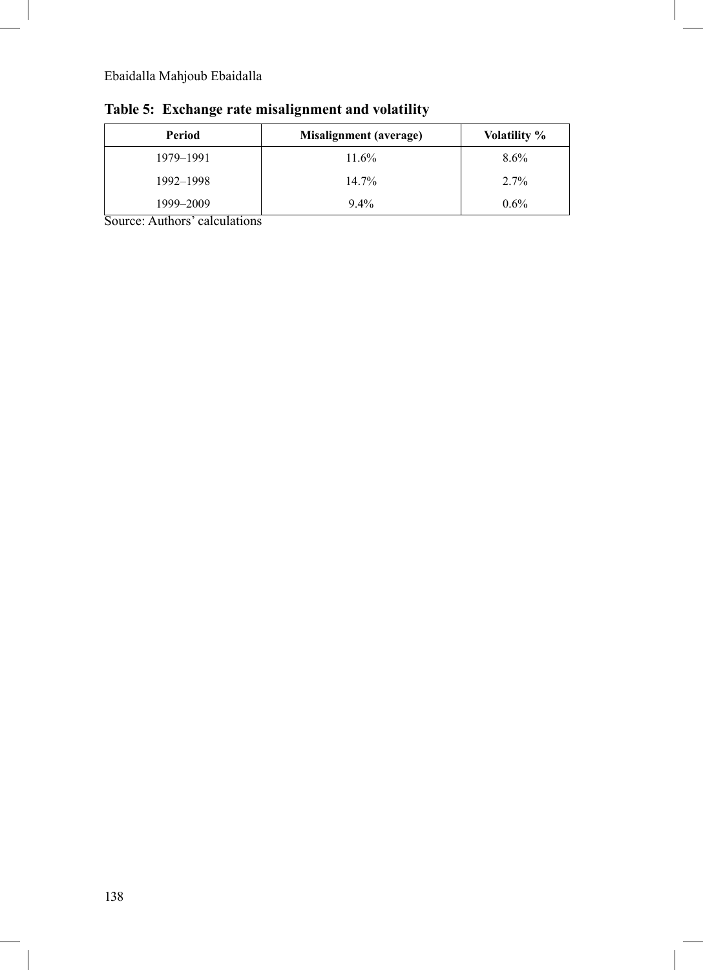| Period    | Misalignment (average) | <b>Volatility</b> % |
|-----------|------------------------|---------------------|
| 1979-1991 | 11.6%                  | $8.6\%$             |
| 1992-1998 | $14.7\%$               | $2.7\%$             |
| 1999–2009 | $9.4\%$                | $0.6\%$             |

# **Table 5: Exchange rate misalignment and volatility**

Source: Authors' calculations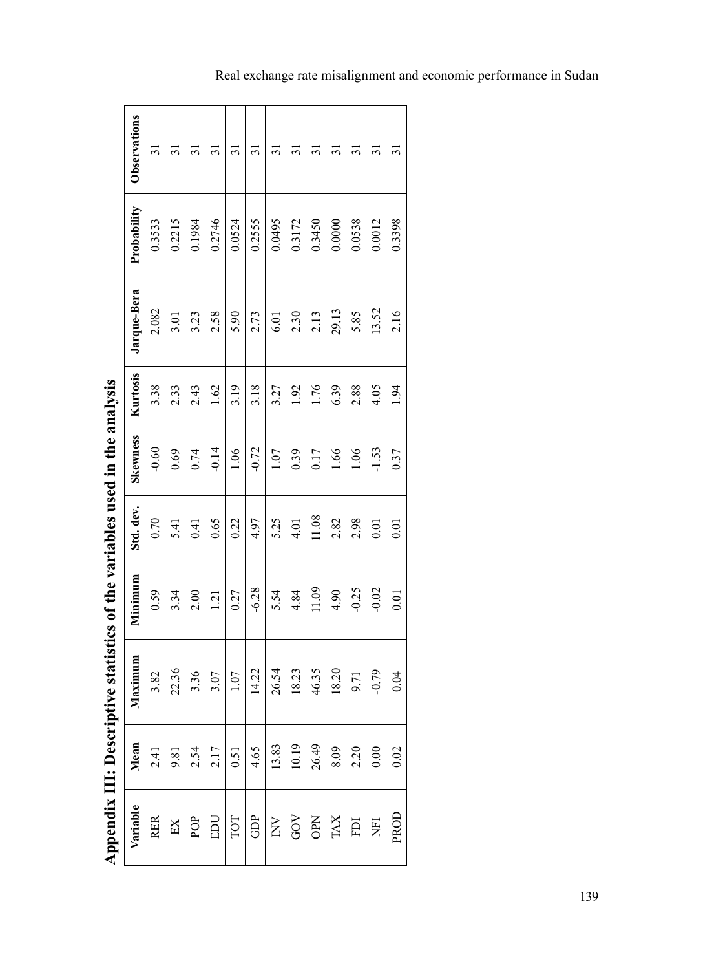|                          | Observations | $\overline{31}$ | $\overline{31}$ | $\Xi$  | $\Xi$   | $\Xi$  | $\overline{31}$ | $\overline{31}$ | $\Xi$  | $\overline{31}$ | $\Xi$  | $\overline{31}$ | $\overline{31}$ | $\overline{3}$ |
|--------------------------|--------------|-----------------|-----------------|--------|---------|--------|-----------------|-----------------|--------|-----------------|--------|-----------------|-----------------|----------------|
|                          | Probability  | 0.3533          | 0.2215          | 0.1984 | 0.2746  | 0.0524 | 0.2555          | 0.0495          | 0.3172 | 0.3450          | 0.0000 | 0.0538          | 0.0012          | 0.3398         |
|                          | Jarque-Bera  | 2.082           | 3.01            | 3.23   | 2.58    | 5.90   | 2.73            | 6.01            | 2.30   | 2.13            | 29.13  | 5.85            | 13.52           | 2.16           |
| $\overline{\phantom{a}}$ | Kurtosis     | 3.38            | 2.33            | 2.43   | 1.62    | 3.19   | 3.18            | 3.27            | 1.92   | 1.76            | 6.39   | 2.88            | 4.05            | 1.94           |
|                          | Skewness     | $-0.60$         | 0.69            | 0.74   | $-0.14$ | 0.06   | $-0.72$         | 1.07            | 0.39   | 0.17            | 66     | 0.06            | $-1.53$         | 0.37           |
|                          | Std. dev.    | 0.70            | 5.41            | 0.41   | 0.65    | 0.22   | 4.97            | 5.25            | 4.01   | 11.08           | 2.82   | 2.98            | 0.01            | 0.01           |
|                          | Minimum      | 0.59            | 3.34            | 2.00   | 1.21    | 0.27   | $-6.28$         | 5.54            | 4.84   | 11.09           | 4.90   | $-0.25$         | $-0.02$         | 0.01           |
|                          | Maximum      | 3.82            | 22.36           | 3.36   | 3.07    | 1.07   | 14.22           | 26.54           | 18.23  | 46.35           | 18.20  | 9.71            | $-0.79$         | 0.04           |
|                          | Mean         | 2.41            | 9.81            | 2.54   | 2.17    | 0.51   | 4.65            | 13.83           | 10.19  | 26.49           | 8.09   | 2.20            | 0.00            | 0.02           |
|                          | Variable     | <b>RER</b>      | EX              | POP    | EDU     | TOT    | GDP             | INV             | GOV    | <b>OPN</b>      | TAX    | E               | E               | PROD           |

Appendix III: Descriptive statistics of the variables used in the analysis **Appendix III: Descriptive statistics of the variables used in the analysis** 

# Real exchange rate misalignment and economic performance in Sudan